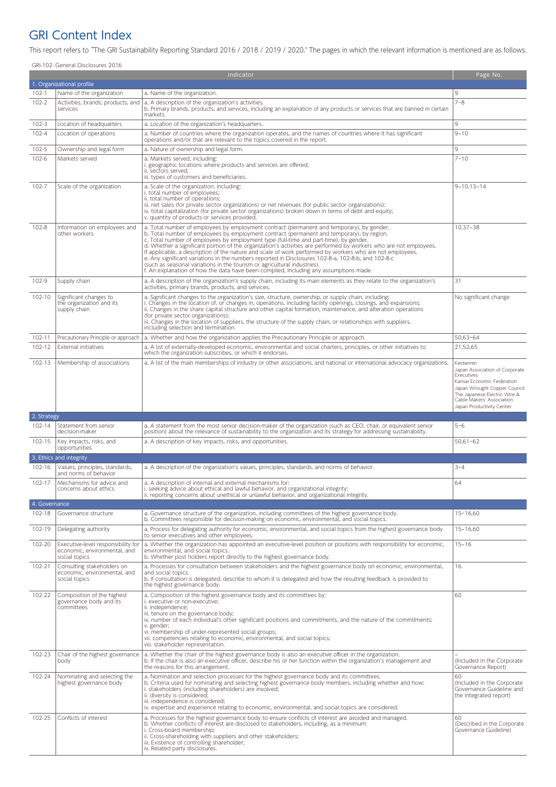## GRI Content Index

This report refers to "The GRI Sustainability Reporting Standard 2016 / 2018 / 2019 / 2020." The pages in which the relevant information is mentioned are as follows.

GRI-102:General Disclosures 2016

| 1. Organizational profile<br>$102-1$<br>Name of the organization<br>a. Name of the organization.<br>9<br>$7 - 8$<br>$102 - 2$<br>a. A description of the organization's activities.<br>Activities, brands, products, and<br>b. Primary brands, products, and services, including an explanation of any products or services that are banned in certain<br>services<br>markets.<br>$102 - 3$<br>9<br>a. Location of the organization's headquarters.<br>Location of headquarters<br>102-4<br>$9 - 10$<br>a. Number of countries where the organization operates, and the names of countries where it has significant<br>Location of operations<br>operations and/or that are relevant to the topics covered in the report.<br>9<br>102-5<br>Ownership and legal form<br>a. Nature of ownership and legal form.<br>$7 - 10$<br>102-6<br>Markets served<br>a. Markets served, including:<br>i. geographic locations where products and services are offered;<br>ii. sectors served;<br>iii. types of customers and beneficiaries.<br>102-7<br>$9 - 10, 13 - 14$<br>Scale of the organization<br>a. Scale of the organization, including:<br>i. total number of employees;<br>ii. total number of operations;<br>iii. net sales (for private sector organizations) or net revenues (for public sector organizations);<br>iv. total capitalization (for private sector organizations) broken down in terms of debt and equity;<br>v. quantity of products or services provided.<br>102-8<br>$10.37 - 38$<br>Information on employees and<br>a. Total number of employees by employment contract (permanent and temporary), by gender.<br>b. Total number of employees by employment contract (permanent and temporary), by region.<br>other workers<br>c. Total number of employees by employment type (full-time and part-time), by gender.<br>d. Whether a significant portion of the organization's activities are performed by workers who are not employees.<br>If applicable, a description of the nature and scale of work performed by workers who are not employees.<br>e. Any significant variations in the numbers reported in Disclosures 102-8-a, 102-8-b, and 102-8-c<br>(such as seasonal variations in the tourism or agricultural industries).<br>f. An explanation of how the data have been compiled, including any assumptions made.<br>102-9<br>31<br>Supply chain<br>a. A description of the organization's supply chain, including its main elements as they relate to the organization's<br>activities, primary brands, products, and services.<br>102-10<br>a. Significant changes to the organization's size, structure, ownership, or supply chain, including:<br>Significant changes to<br>No significant change<br>i. Changes in the location of, or changes in, operations, including facility openings, closings, and expansions;<br>the organization and its<br>ii. Changes in the share capital structure and other capital formation, maintenance, and alteration operations<br>supply chain<br>(for private sector organizations);<br>iii. Changes in the location of suppliers, the structure of the supply chain, or relationships with suppliers,<br>including selection and termination.<br>102-11<br>$50,63 - 64$<br>Precautionary Principle or approach<br>a. Whether and how the organization applies the Precautionary Principle or approach.<br>102-12<br><b>External initiatives</b><br>a. A list of externally-developed economic, environmental and social charters, principles, or other initiatives to<br>21,52,65<br>which the organization subscribes, or which it endorses.<br>102-13<br>Membership of associations<br>a. A list of the main memberships of industry or other associations, and national or international advocacy organizations.<br>Keidanren<br>Japan Association of Corporate<br>Executives<br>Kansai Economic Federation<br>Japan Wrought Copper Council<br>The Japanese Electric Wire &<br>Cable Makers' Association<br>Japan Productivity Center<br>2. Strategy<br>102-14<br>Statement from senior<br>a. A statement from the most senior decision-maker of the organization (such as CEO, chair, or equivalent senior<br>$5 - 6$<br>decision-maker<br>position) about the relevance of sustainability to the organization and its strategy for addressing sustainability.<br>102-15<br>Key impacts, risks, and<br>$50,61 - 62$<br>a. A description of key impacts, risks, and opportunities.<br>opportunities<br>3. Ethics and integrity<br>102-16<br>$3 - 4$<br>Values, principles, standards,<br>a. A description of the organization's values, principles, standards, and norms of behavior.<br>and norms of behavior<br>102-17<br>a. A description of internal and external mechanisms for:<br>64<br>Mechanisms for advice and<br>i. seeking advice about ethical and lawful behavior, and organizational integrity;<br>concerns about ethics<br>ii. reporting concerns about unethical or unlawful behavior, and organizational integrity.<br>4. Governance<br>$15 - 16,60$<br>102-18<br>Governance structure<br>a. Governance structure of the organization, including committees of the highest governance body.<br>b. Committees responsible for decision-making on economic, environmental, and social topics.<br>102-19<br>Delegating authority<br>a. Process for delegating authority for economic, environmental, and social topics from the highest governance body<br>$15 - 16,60$<br>to senior executives and other employees.<br>102-20<br>$15 - 16$<br>Executive-level responsibility for<br>a. Whether the organization has appointed an executive-level position or positions with responsibility for economic,<br>economic, environmental, and<br>environmental, and social topics.<br>social topics<br>b. Whether post holders report directly to the highest governance body.<br>102-21<br>16<br>Consulting stakeholders on<br>a. Processes for consultation between stakeholders and the highest governance body on economic, environmental,<br>economic, environmental, and<br>and social topics.<br>b. If consultation is delegated, describe to whom it is delegated and how the resulting feedback is provided to<br>social topics<br>the highest governance body.<br>102-22<br>60<br>Composition of the highest<br>a. Composition of the highest governance body and its committees by:<br>i. executive or non-executive;<br>governance body and its<br>committees<br>ii. independence;<br>iii. tenure on the governance body;<br>iv. number of each individual's other significant positions and commitments, and the nature of the commitments;<br>v. gender;<br>vi. membership of under-represented social groups;<br>vii. competencies relating to economic, environmental, and social topics;<br>viii. stakeholder representation.<br>102-23<br>Chair of the highest governance<br>a. Whether the chair of the highest governance body is also an executive officer in the organization.<br>b. If the chair is also an executive officer, describe his or her function within the organization's management and<br>(Included in the Corporate<br>body<br>the reasons for this arrangement.<br>Governance Report)<br>102-24<br>60<br>Nominating and selecting the<br>a. Nomination and selection processes for the highest governance body and its committees.<br>highest governance body<br>b. Criteria used for nominating and selecting highest governance body members, including whether and how:<br>(Included in the Corporate)<br>i. stakeholders (including shareholders) are involved;<br>Governance Guideline and<br>ii. diversity is considered;<br>the Integrated report)<br>iii. independence is considered;<br>iv. expertise and experience relating to economic, environmental, and social topics are considered.<br>102-25<br>Conflicts of interest<br>a. Processes for the highest governance body to ensure conflicts of interest are avoided and managed.<br>60<br>b. Whether conflicts of interest are disclosed to stakeholders, including, as a minimum:<br>(Described in the Corporate<br>i. Cross-board membership;<br>Governance Guideline)<br>ii. Cross-shareholding with suppliers and other stakeholders;<br>iii. Existence of controlling shareholder;<br>iv. Related party disclosures. |  | Indicator | Page No. |
|-----------------------------------------------------------------------------------------------------------------------------------------------------------------------------------------------------------------------------------------------------------------------------------------------------------------------------------------------------------------------------------------------------------------------------------------------------------------------------------------------------------------------------------------------------------------------------------------------------------------------------------------------------------------------------------------------------------------------------------------------------------------------------------------------------------------------------------------------------------------------------------------------------------------------------------------------------------------------------------------------------------------------------------------------------------------------------------------------------------------------------------------------------------------------------------------------------------------------------------------------------------------------------------------------------------------------------------------------------------------------------------------------------------------------------------------------------------------------------------------------------------------------------------------------------------------------------------------------------------------------------------------------------------------------------------------------------------------------------------------------------------------------------------------------------------------------------------------------------------------------------------------------------------------------------------------------------------------------------------------------------------------------------------------------------------------------------------------------------------------------------------------------------------------------------------------------------------------------------------------------------------------------------------------------------------------------------------------------------------------------------------------------------------------------------------------------------------------------------------------------------------------------------------------------------------------------------------------------------------------------------------------------------------------------------------------------------------------------------------------------------------------------------------------------------------------------------------------------------------------------------------------------------------------------------------------------------------------------------------------------------------------------------------------------------------------------------------------------------------------------------------------------------------------------------------------------------------------------------------------------------------------------------------------------------------------------------------------------------------------------------------------------------------------------------------------------------------------------------------------------------------------------------------------------------------------------------------------------------------------------------------------------------------------------------------------------------------------------------------------------------------------------------------------------------------------------------------------------------------------------------------------------------------------------------------------------------------------------------------------------------------------------------------------------------------------------------------------------------------------------------------------------------------------------------------------------------------------------------------------------------------------------------------------------------------------------------------------------------------------------------------------------------------------------------------------------------------------------------------------------------------------------------------------------------------------------------------------------------------------------------------------------------------------------------------------------------------------------------------------------------------------------------------------------------------------------------------------------------------------------------------------------------------------------------------------------------------------------------------------------------------------------------------------------------------------------------------------------------------------------------------------------------------------------------------------------------------------------------------------------------------------------------------------------------------------------------------------------------------------------------------------------------------------------------------------------------------------------------------------------------------------------------------------------------------------------------------------------------------------------------------------------------------------------------------------------------------------------------------------------------------------------------------------------------------------------------------------------------------------------------------------------------------------------------------------------------------------------------------------------------------------------------------------------------------------------------------------------------------------------------------------------------------------------------------------------------------------------------------------------------------------------------------------------------------------------------------------------------------------------------------------------------------------------------------------------------------------------------------------------------------------------------------------------------------------------------------------------------------------------------------------------------------------------------------------------------------------------------------------------------------------------------------------------------------------------------------------------------------------------------------------------------------------------------------------------------------------------------------------------------------------------------------------------------------------------------------------------------------------------------------------------------------------------------------------------------------------------------------------------------------------------------------------------------------------------------------------------------------------------------------------------------------------------------------------------------------------------------------------------------------------------------------------------------------------------------------------------------------------------------------------------------------------------------------------------------------------------------------------------------------------------------------------------------------------------------------------------------------------------------------------------------------------------------------------------------------------------------------------------------------------------------------------------------------------------------------------------------------------------------------------------------------------------------------------------------------------------------------------------------------------------------------------------------------------------------|--|-----------|----------|
|                                                                                                                                                                                                                                                                                                                                                                                                                                                                                                                                                                                                                                                                                                                                                                                                                                                                                                                                                                                                                                                                                                                                                                                                                                                                                                                                                                                                                                                                                                                                                                                                                                                                                                                                                                                                                                                                                                                                                                                                                                                                                                                                                                                                                                                                                                                                                                                                                                                                                                                                                                                                                                                                                                                                                                                                                                                                                                                                                                                                                                                                                                                                                                                                                                                                                                                                                                                                                                                                                                                                                                                                                                                                                                                                                                                                                                                                                                                                                                                                                                                                                                                                                                                                                                                                                                                                                                                                                                                                                                                                                                                                                                                                                                                                                                                                                                                                                                                                                                                                                                                                                                                                                                                                                                                                                                                                                                                                                                                                                                                                                                                                                                                                                                                                                                                                                                                                                                                                                                                                                                                                                                                                                                                                                                                                                                                                                                                                                                                                                                                                                                                                                                                                                                                                                                                                                                                                                                                                                                                                                                                                                                                                                                                                                                                                                                                                                                                                                                                                                                                                                                                                                                                                                                                                                                                                                                                                                                                                                                                                                                                                                                                                                                                                                                                                                                                             |  |           |          |
|                                                                                                                                                                                                                                                                                                                                                                                                                                                                                                                                                                                                                                                                                                                                                                                                                                                                                                                                                                                                                                                                                                                                                                                                                                                                                                                                                                                                                                                                                                                                                                                                                                                                                                                                                                                                                                                                                                                                                                                                                                                                                                                                                                                                                                                                                                                                                                                                                                                                                                                                                                                                                                                                                                                                                                                                                                                                                                                                                                                                                                                                                                                                                                                                                                                                                                                                                                                                                                                                                                                                                                                                                                                                                                                                                                                                                                                                                                                                                                                                                                                                                                                                                                                                                                                                                                                                                                                                                                                                                                                                                                                                                                                                                                                                                                                                                                                                                                                                                                                                                                                                                                                                                                                                                                                                                                                                                                                                                                                                                                                                                                                                                                                                                                                                                                                                                                                                                                                                                                                                                                                                                                                                                                                                                                                                                                                                                                                                                                                                                                                                                                                                                                                                                                                                                                                                                                                                                                                                                                                                                                                                                                                                                                                                                                                                                                                                                                                                                                                                                                                                                                                                                                                                                                                                                                                                                                                                                                                                                                                                                                                                                                                                                                                                                                                                                                                             |  |           |          |
|                                                                                                                                                                                                                                                                                                                                                                                                                                                                                                                                                                                                                                                                                                                                                                                                                                                                                                                                                                                                                                                                                                                                                                                                                                                                                                                                                                                                                                                                                                                                                                                                                                                                                                                                                                                                                                                                                                                                                                                                                                                                                                                                                                                                                                                                                                                                                                                                                                                                                                                                                                                                                                                                                                                                                                                                                                                                                                                                                                                                                                                                                                                                                                                                                                                                                                                                                                                                                                                                                                                                                                                                                                                                                                                                                                                                                                                                                                                                                                                                                                                                                                                                                                                                                                                                                                                                                                                                                                                                                                                                                                                                                                                                                                                                                                                                                                                                                                                                                                                                                                                                                                                                                                                                                                                                                                                                                                                                                                                                                                                                                                                                                                                                                                                                                                                                                                                                                                                                                                                                                                                                                                                                                                                                                                                                                                                                                                                                                                                                                                                                                                                                                                                                                                                                                                                                                                                                                                                                                                                                                                                                                                                                                                                                                                                                                                                                                                                                                                                                                                                                                                                                                                                                                                                                                                                                                                                                                                                                                                                                                                                                                                                                                                                                                                                                                                                             |  |           |          |
|                                                                                                                                                                                                                                                                                                                                                                                                                                                                                                                                                                                                                                                                                                                                                                                                                                                                                                                                                                                                                                                                                                                                                                                                                                                                                                                                                                                                                                                                                                                                                                                                                                                                                                                                                                                                                                                                                                                                                                                                                                                                                                                                                                                                                                                                                                                                                                                                                                                                                                                                                                                                                                                                                                                                                                                                                                                                                                                                                                                                                                                                                                                                                                                                                                                                                                                                                                                                                                                                                                                                                                                                                                                                                                                                                                                                                                                                                                                                                                                                                                                                                                                                                                                                                                                                                                                                                                                                                                                                                                                                                                                                                                                                                                                                                                                                                                                                                                                                                                                                                                                                                                                                                                                                                                                                                                                                                                                                                                                                                                                                                                                                                                                                                                                                                                                                                                                                                                                                                                                                                                                                                                                                                                                                                                                                                                                                                                                                                                                                                                                                                                                                                                                                                                                                                                                                                                                                                                                                                                                                                                                                                                                                                                                                                                                                                                                                                                                                                                                                                                                                                                                                                                                                                                                                                                                                                                                                                                                                                                                                                                                                                                                                                                                                                                                                                                                             |  |           |          |
|                                                                                                                                                                                                                                                                                                                                                                                                                                                                                                                                                                                                                                                                                                                                                                                                                                                                                                                                                                                                                                                                                                                                                                                                                                                                                                                                                                                                                                                                                                                                                                                                                                                                                                                                                                                                                                                                                                                                                                                                                                                                                                                                                                                                                                                                                                                                                                                                                                                                                                                                                                                                                                                                                                                                                                                                                                                                                                                                                                                                                                                                                                                                                                                                                                                                                                                                                                                                                                                                                                                                                                                                                                                                                                                                                                                                                                                                                                                                                                                                                                                                                                                                                                                                                                                                                                                                                                                                                                                                                                                                                                                                                                                                                                                                                                                                                                                                                                                                                                                                                                                                                                                                                                                                                                                                                                                                                                                                                                                                                                                                                                                                                                                                                                                                                                                                                                                                                                                                                                                                                                                                                                                                                                                                                                                                                                                                                                                                                                                                                                                                                                                                                                                                                                                                                                                                                                                                                                                                                                                                                                                                                                                                                                                                                                                                                                                                                                                                                                                                                                                                                                                                                                                                                                                                                                                                                                                                                                                                                                                                                                                                                                                                                                                                                                                                                                                             |  |           |          |
|                                                                                                                                                                                                                                                                                                                                                                                                                                                                                                                                                                                                                                                                                                                                                                                                                                                                                                                                                                                                                                                                                                                                                                                                                                                                                                                                                                                                                                                                                                                                                                                                                                                                                                                                                                                                                                                                                                                                                                                                                                                                                                                                                                                                                                                                                                                                                                                                                                                                                                                                                                                                                                                                                                                                                                                                                                                                                                                                                                                                                                                                                                                                                                                                                                                                                                                                                                                                                                                                                                                                                                                                                                                                                                                                                                                                                                                                                                                                                                                                                                                                                                                                                                                                                                                                                                                                                                                                                                                                                                                                                                                                                                                                                                                                                                                                                                                                                                                                                                                                                                                                                                                                                                                                                                                                                                                                                                                                                                                                                                                                                                                                                                                                                                                                                                                                                                                                                                                                                                                                                                                                                                                                                                                                                                                                                                                                                                                                                                                                                                                                                                                                                                                                                                                                                                                                                                                                                                                                                                                                                                                                                                                                                                                                                                                                                                                                                                                                                                                                                                                                                                                                                                                                                                                                                                                                                                                                                                                                                                                                                                                                                                                                                                                                                                                                                                                             |  |           |          |
|                                                                                                                                                                                                                                                                                                                                                                                                                                                                                                                                                                                                                                                                                                                                                                                                                                                                                                                                                                                                                                                                                                                                                                                                                                                                                                                                                                                                                                                                                                                                                                                                                                                                                                                                                                                                                                                                                                                                                                                                                                                                                                                                                                                                                                                                                                                                                                                                                                                                                                                                                                                                                                                                                                                                                                                                                                                                                                                                                                                                                                                                                                                                                                                                                                                                                                                                                                                                                                                                                                                                                                                                                                                                                                                                                                                                                                                                                                                                                                                                                                                                                                                                                                                                                                                                                                                                                                                                                                                                                                                                                                                                                                                                                                                                                                                                                                                                                                                                                                                                                                                                                                                                                                                                                                                                                                                                                                                                                                                                                                                                                                                                                                                                                                                                                                                                                                                                                                                                                                                                                                                                                                                                                                                                                                                                                                                                                                                                                                                                                                                                                                                                                                                                                                                                                                                                                                                                                                                                                                                                                                                                                                                                                                                                                                                                                                                                                                                                                                                                                                                                                                                                                                                                                                                                                                                                                                                                                                                                                                                                                                                                                                                                                                                                                                                                                                                             |  |           |          |
|                                                                                                                                                                                                                                                                                                                                                                                                                                                                                                                                                                                                                                                                                                                                                                                                                                                                                                                                                                                                                                                                                                                                                                                                                                                                                                                                                                                                                                                                                                                                                                                                                                                                                                                                                                                                                                                                                                                                                                                                                                                                                                                                                                                                                                                                                                                                                                                                                                                                                                                                                                                                                                                                                                                                                                                                                                                                                                                                                                                                                                                                                                                                                                                                                                                                                                                                                                                                                                                                                                                                                                                                                                                                                                                                                                                                                                                                                                                                                                                                                                                                                                                                                                                                                                                                                                                                                                                                                                                                                                                                                                                                                                                                                                                                                                                                                                                                                                                                                                                                                                                                                                                                                                                                                                                                                                                                                                                                                                                                                                                                                                                                                                                                                                                                                                                                                                                                                                                                                                                                                                                                                                                                                                                                                                                                                                                                                                                                                                                                                                                                                                                                                                                                                                                                                                                                                                                                                                                                                                                                                                                                                                                                                                                                                                                                                                                                                                                                                                                                                                                                                                                                                                                                                                                                                                                                                                                                                                                                                                                                                                                                                                                                                                                                                                                                                                                             |  |           |          |
|                                                                                                                                                                                                                                                                                                                                                                                                                                                                                                                                                                                                                                                                                                                                                                                                                                                                                                                                                                                                                                                                                                                                                                                                                                                                                                                                                                                                                                                                                                                                                                                                                                                                                                                                                                                                                                                                                                                                                                                                                                                                                                                                                                                                                                                                                                                                                                                                                                                                                                                                                                                                                                                                                                                                                                                                                                                                                                                                                                                                                                                                                                                                                                                                                                                                                                                                                                                                                                                                                                                                                                                                                                                                                                                                                                                                                                                                                                                                                                                                                                                                                                                                                                                                                                                                                                                                                                                                                                                                                                                                                                                                                                                                                                                                                                                                                                                                                                                                                                                                                                                                                                                                                                                                                                                                                                                                                                                                                                                                                                                                                                                                                                                                                                                                                                                                                                                                                                                                                                                                                                                                                                                                                                                                                                                                                                                                                                                                                                                                                                                                                                                                                                                                                                                                                                                                                                                                                                                                                                                                                                                                                                                                                                                                                                                                                                                                                                                                                                                                                                                                                                                                                                                                                                                                                                                                                                                                                                                                                                                                                                                                                                                                                                                                                                                                                                                             |  |           |          |
|                                                                                                                                                                                                                                                                                                                                                                                                                                                                                                                                                                                                                                                                                                                                                                                                                                                                                                                                                                                                                                                                                                                                                                                                                                                                                                                                                                                                                                                                                                                                                                                                                                                                                                                                                                                                                                                                                                                                                                                                                                                                                                                                                                                                                                                                                                                                                                                                                                                                                                                                                                                                                                                                                                                                                                                                                                                                                                                                                                                                                                                                                                                                                                                                                                                                                                                                                                                                                                                                                                                                                                                                                                                                                                                                                                                                                                                                                                                                                                                                                                                                                                                                                                                                                                                                                                                                                                                                                                                                                                                                                                                                                                                                                                                                                                                                                                                                                                                                                                                                                                                                                                                                                                                                                                                                                                                                                                                                                                                                                                                                                                                                                                                                                                                                                                                                                                                                                                                                                                                                                                                                                                                                                                                                                                                                                                                                                                                                                                                                                                                                                                                                                                                                                                                                                                                                                                                                                                                                                                                                                                                                                                                                                                                                                                                                                                                                                                                                                                                                                                                                                                                                                                                                                                                                                                                                                                                                                                                                                                                                                                                                                                                                                                                                                                                                                                                             |  |           |          |
|                                                                                                                                                                                                                                                                                                                                                                                                                                                                                                                                                                                                                                                                                                                                                                                                                                                                                                                                                                                                                                                                                                                                                                                                                                                                                                                                                                                                                                                                                                                                                                                                                                                                                                                                                                                                                                                                                                                                                                                                                                                                                                                                                                                                                                                                                                                                                                                                                                                                                                                                                                                                                                                                                                                                                                                                                                                                                                                                                                                                                                                                                                                                                                                                                                                                                                                                                                                                                                                                                                                                                                                                                                                                                                                                                                                                                                                                                                                                                                                                                                                                                                                                                                                                                                                                                                                                                                                                                                                                                                                                                                                                                                                                                                                                                                                                                                                                                                                                                                                                                                                                                                                                                                                                                                                                                                                                                                                                                                                                                                                                                                                                                                                                                                                                                                                                                                                                                                                                                                                                                                                                                                                                                                                                                                                                                                                                                                                                                                                                                                                                                                                                                                                                                                                                                                                                                                                                                                                                                                                                                                                                                                                                                                                                                                                                                                                                                                                                                                                                                                                                                                                                                                                                                                                                                                                                                                                                                                                                                                                                                                                                                                                                                                                                                                                                                                                             |  |           |          |
|                                                                                                                                                                                                                                                                                                                                                                                                                                                                                                                                                                                                                                                                                                                                                                                                                                                                                                                                                                                                                                                                                                                                                                                                                                                                                                                                                                                                                                                                                                                                                                                                                                                                                                                                                                                                                                                                                                                                                                                                                                                                                                                                                                                                                                                                                                                                                                                                                                                                                                                                                                                                                                                                                                                                                                                                                                                                                                                                                                                                                                                                                                                                                                                                                                                                                                                                                                                                                                                                                                                                                                                                                                                                                                                                                                                                                                                                                                                                                                                                                                                                                                                                                                                                                                                                                                                                                                                                                                                                                                                                                                                                                                                                                                                                                                                                                                                                                                                                                                                                                                                                                                                                                                                                                                                                                                                                                                                                                                                                                                                                                                                                                                                                                                                                                                                                                                                                                                                                                                                                                                                                                                                                                                                                                                                                                                                                                                                                                                                                                                                                                                                                                                                                                                                                                                                                                                                                                                                                                                                                                                                                                                                                                                                                                                                                                                                                                                                                                                                                                                                                                                                                                                                                                                                                                                                                                                                                                                                                                                                                                                                                                                                                                                                                                                                                                                                             |  |           |          |
|                                                                                                                                                                                                                                                                                                                                                                                                                                                                                                                                                                                                                                                                                                                                                                                                                                                                                                                                                                                                                                                                                                                                                                                                                                                                                                                                                                                                                                                                                                                                                                                                                                                                                                                                                                                                                                                                                                                                                                                                                                                                                                                                                                                                                                                                                                                                                                                                                                                                                                                                                                                                                                                                                                                                                                                                                                                                                                                                                                                                                                                                                                                                                                                                                                                                                                                                                                                                                                                                                                                                                                                                                                                                                                                                                                                                                                                                                                                                                                                                                                                                                                                                                                                                                                                                                                                                                                                                                                                                                                                                                                                                                                                                                                                                                                                                                                                                                                                                                                                                                                                                                                                                                                                                                                                                                                                                                                                                                                                                                                                                                                                                                                                                                                                                                                                                                                                                                                                                                                                                                                                                                                                                                                                                                                                                                                                                                                                                                                                                                                                                                                                                                                                                                                                                                                                                                                                                                                                                                                                                                                                                                                                                                                                                                                                                                                                                                                                                                                                                                                                                                                                                                                                                                                                                                                                                                                                                                                                                                                                                                                                                                                                                                                                                                                                                                                                             |  |           |          |
|                                                                                                                                                                                                                                                                                                                                                                                                                                                                                                                                                                                                                                                                                                                                                                                                                                                                                                                                                                                                                                                                                                                                                                                                                                                                                                                                                                                                                                                                                                                                                                                                                                                                                                                                                                                                                                                                                                                                                                                                                                                                                                                                                                                                                                                                                                                                                                                                                                                                                                                                                                                                                                                                                                                                                                                                                                                                                                                                                                                                                                                                                                                                                                                                                                                                                                                                                                                                                                                                                                                                                                                                                                                                                                                                                                                                                                                                                                                                                                                                                                                                                                                                                                                                                                                                                                                                                                                                                                                                                                                                                                                                                                                                                                                                                                                                                                                                                                                                                                                                                                                                                                                                                                                                                                                                                                                                                                                                                                                                                                                                                                                                                                                                                                                                                                                                                                                                                                                                                                                                                                                                                                                                                                                                                                                                                                                                                                                                                                                                                                                                                                                                                                                                                                                                                                                                                                                                                                                                                                                                                                                                                                                                                                                                                                                                                                                                                                                                                                                                                                                                                                                                                                                                                                                                                                                                                                                                                                                                                                                                                                                                                                                                                                                                                                                                                                                             |  |           |          |
|                                                                                                                                                                                                                                                                                                                                                                                                                                                                                                                                                                                                                                                                                                                                                                                                                                                                                                                                                                                                                                                                                                                                                                                                                                                                                                                                                                                                                                                                                                                                                                                                                                                                                                                                                                                                                                                                                                                                                                                                                                                                                                                                                                                                                                                                                                                                                                                                                                                                                                                                                                                                                                                                                                                                                                                                                                                                                                                                                                                                                                                                                                                                                                                                                                                                                                                                                                                                                                                                                                                                                                                                                                                                                                                                                                                                                                                                                                                                                                                                                                                                                                                                                                                                                                                                                                                                                                                                                                                                                                                                                                                                                                                                                                                                                                                                                                                                                                                                                                                                                                                                                                                                                                                                                                                                                                                                                                                                                                                                                                                                                                                                                                                                                                                                                                                                                                                                                                                                                                                                                                                                                                                                                                                                                                                                                                                                                                                                                                                                                                                                                                                                                                                                                                                                                                                                                                                                                                                                                                                                                                                                                                                                                                                                                                                                                                                                                                                                                                                                                                                                                                                                                                                                                                                                                                                                                                                                                                                                                                                                                                                                                                                                                                                                                                                                                                                             |  |           |          |
|                                                                                                                                                                                                                                                                                                                                                                                                                                                                                                                                                                                                                                                                                                                                                                                                                                                                                                                                                                                                                                                                                                                                                                                                                                                                                                                                                                                                                                                                                                                                                                                                                                                                                                                                                                                                                                                                                                                                                                                                                                                                                                                                                                                                                                                                                                                                                                                                                                                                                                                                                                                                                                                                                                                                                                                                                                                                                                                                                                                                                                                                                                                                                                                                                                                                                                                                                                                                                                                                                                                                                                                                                                                                                                                                                                                                                                                                                                                                                                                                                                                                                                                                                                                                                                                                                                                                                                                                                                                                                                                                                                                                                                                                                                                                                                                                                                                                                                                                                                                                                                                                                                                                                                                                                                                                                                                                                                                                                                                                                                                                                                                                                                                                                                                                                                                                                                                                                                                                                                                                                                                                                                                                                                                                                                                                                                                                                                                                                                                                                                                                                                                                                                                                                                                                                                                                                                                                                                                                                                                                                                                                                                                                                                                                                                                                                                                                                                                                                                                                                                                                                                                                                                                                                                                                                                                                                                                                                                                                                                                                                                                                                                                                                                                                                                                                                                                             |  |           |          |
|                                                                                                                                                                                                                                                                                                                                                                                                                                                                                                                                                                                                                                                                                                                                                                                                                                                                                                                                                                                                                                                                                                                                                                                                                                                                                                                                                                                                                                                                                                                                                                                                                                                                                                                                                                                                                                                                                                                                                                                                                                                                                                                                                                                                                                                                                                                                                                                                                                                                                                                                                                                                                                                                                                                                                                                                                                                                                                                                                                                                                                                                                                                                                                                                                                                                                                                                                                                                                                                                                                                                                                                                                                                                                                                                                                                                                                                                                                                                                                                                                                                                                                                                                                                                                                                                                                                                                                                                                                                                                                                                                                                                                                                                                                                                                                                                                                                                                                                                                                                                                                                                                                                                                                                                                                                                                                                                                                                                                                                                                                                                                                                                                                                                                                                                                                                                                                                                                                                                                                                                                                                                                                                                                                                                                                                                                                                                                                                                                                                                                                                                                                                                                                                                                                                                                                                                                                                                                                                                                                                                                                                                                                                                                                                                                                                                                                                                                                                                                                                                                                                                                                                                                                                                                                                                                                                                                                                                                                                                                                                                                                                                                                                                                                                                                                                                                                                             |  |           |          |
|                                                                                                                                                                                                                                                                                                                                                                                                                                                                                                                                                                                                                                                                                                                                                                                                                                                                                                                                                                                                                                                                                                                                                                                                                                                                                                                                                                                                                                                                                                                                                                                                                                                                                                                                                                                                                                                                                                                                                                                                                                                                                                                                                                                                                                                                                                                                                                                                                                                                                                                                                                                                                                                                                                                                                                                                                                                                                                                                                                                                                                                                                                                                                                                                                                                                                                                                                                                                                                                                                                                                                                                                                                                                                                                                                                                                                                                                                                                                                                                                                                                                                                                                                                                                                                                                                                                                                                                                                                                                                                                                                                                                                                                                                                                                                                                                                                                                                                                                                                                                                                                                                                                                                                                                                                                                                                                                                                                                                                                                                                                                                                                                                                                                                                                                                                                                                                                                                                                                                                                                                                                                                                                                                                                                                                                                                                                                                                                                                                                                                                                                                                                                                                                                                                                                                                                                                                                                                                                                                                                                                                                                                                                                                                                                                                                                                                                                                                                                                                                                                                                                                                                                                                                                                                                                                                                                                                                                                                                                                                                                                                                                                                                                                                                                                                                                                                                             |  |           |          |
|                                                                                                                                                                                                                                                                                                                                                                                                                                                                                                                                                                                                                                                                                                                                                                                                                                                                                                                                                                                                                                                                                                                                                                                                                                                                                                                                                                                                                                                                                                                                                                                                                                                                                                                                                                                                                                                                                                                                                                                                                                                                                                                                                                                                                                                                                                                                                                                                                                                                                                                                                                                                                                                                                                                                                                                                                                                                                                                                                                                                                                                                                                                                                                                                                                                                                                                                                                                                                                                                                                                                                                                                                                                                                                                                                                                                                                                                                                                                                                                                                                                                                                                                                                                                                                                                                                                                                                                                                                                                                                                                                                                                                                                                                                                                                                                                                                                                                                                                                                                                                                                                                                                                                                                                                                                                                                                                                                                                                                                                                                                                                                                                                                                                                                                                                                                                                                                                                                                                                                                                                                                                                                                                                                                                                                                                                                                                                                                                                                                                                                                                                                                                                                                                                                                                                                                                                                                                                                                                                                                                                                                                                                                                                                                                                                                                                                                                                                                                                                                                                                                                                                                                                                                                                                                                                                                                                                                                                                                                                                                                                                                                                                                                                                                                                                                                                                                             |  |           |          |
|                                                                                                                                                                                                                                                                                                                                                                                                                                                                                                                                                                                                                                                                                                                                                                                                                                                                                                                                                                                                                                                                                                                                                                                                                                                                                                                                                                                                                                                                                                                                                                                                                                                                                                                                                                                                                                                                                                                                                                                                                                                                                                                                                                                                                                                                                                                                                                                                                                                                                                                                                                                                                                                                                                                                                                                                                                                                                                                                                                                                                                                                                                                                                                                                                                                                                                                                                                                                                                                                                                                                                                                                                                                                                                                                                                                                                                                                                                                                                                                                                                                                                                                                                                                                                                                                                                                                                                                                                                                                                                                                                                                                                                                                                                                                                                                                                                                                                                                                                                                                                                                                                                                                                                                                                                                                                                                                                                                                                                                                                                                                                                                                                                                                                                                                                                                                                                                                                                                                                                                                                                                                                                                                                                                                                                                                                                                                                                                                                                                                                                                                                                                                                                                                                                                                                                                                                                                                                                                                                                                                                                                                                                                                                                                                                                                                                                                                                                                                                                                                                                                                                                                                                                                                                                                                                                                                                                                                                                                                                                                                                                                                                                                                                                                                                                                                                                                             |  |           |          |
|                                                                                                                                                                                                                                                                                                                                                                                                                                                                                                                                                                                                                                                                                                                                                                                                                                                                                                                                                                                                                                                                                                                                                                                                                                                                                                                                                                                                                                                                                                                                                                                                                                                                                                                                                                                                                                                                                                                                                                                                                                                                                                                                                                                                                                                                                                                                                                                                                                                                                                                                                                                                                                                                                                                                                                                                                                                                                                                                                                                                                                                                                                                                                                                                                                                                                                                                                                                                                                                                                                                                                                                                                                                                                                                                                                                                                                                                                                                                                                                                                                                                                                                                                                                                                                                                                                                                                                                                                                                                                                                                                                                                                                                                                                                                                                                                                                                                                                                                                                                                                                                                                                                                                                                                                                                                                                                                                                                                                                                                                                                                                                                                                                                                                                                                                                                                                                                                                                                                                                                                                                                                                                                                                                                                                                                                                                                                                                                                                                                                                                                                                                                                                                                                                                                                                                                                                                                                                                                                                                                                                                                                                                                                                                                                                                                                                                                                                                                                                                                                                                                                                                                                                                                                                                                                                                                                                                                                                                                                                                                                                                                                                                                                                                                                                                                                                                                             |  |           |          |
|                                                                                                                                                                                                                                                                                                                                                                                                                                                                                                                                                                                                                                                                                                                                                                                                                                                                                                                                                                                                                                                                                                                                                                                                                                                                                                                                                                                                                                                                                                                                                                                                                                                                                                                                                                                                                                                                                                                                                                                                                                                                                                                                                                                                                                                                                                                                                                                                                                                                                                                                                                                                                                                                                                                                                                                                                                                                                                                                                                                                                                                                                                                                                                                                                                                                                                                                                                                                                                                                                                                                                                                                                                                                                                                                                                                                                                                                                                                                                                                                                                                                                                                                                                                                                                                                                                                                                                                                                                                                                                                                                                                                                                                                                                                                                                                                                                                                                                                                                                                                                                                                                                                                                                                                                                                                                                                                                                                                                                                                                                                                                                                                                                                                                                                                                                                                                                                                                                                                                                                                                                                                                                                                                                                                                                                                                                                                                                                                                                                                                                                                                                                                                                                                                                                                                                                                                                                                                                                                                                                                                                                                                                                                                                                                                                                                                                                                                                                                                                                                                                                                                                                                                                                                                                                                                                                                                                                                                                                                                                                                                                                                                                                                                                                                                                                                                                                             |  |           |          |
|                                                                                                                                                                                                                                                                                                                                                                                                                                                                                                                                                                                                                                                                                                                                                                                                                                                                                                                                                                                                                                                                                                                                                                                                                                                                                                                                                                                                                                                                                                                                                                                                                                                                                                                                                                                                                                                                                                                                                                                                                                                                                                                                                                                                                                                                                                                                                                                                                                                                                                                                                                                                                                                                                                                                                                                                                                                                                                                                                                                                                                                                                                                                                                                                                                                                                                                                                                                                                                                                                                                                                                                                                                                                                                                                                                                                                                                                                                                                                                                                                                                                                                                                                                                                                                                                                                                                                                                                                                                                                                                                                                                                                                                                                                                                                                                                                                                                                                                                                                                                                                                                                                                                                                                                                                                                                                                                                                                                                                                                                                                                                                                                                                                                                                                                                                                                                                                                                                                                                                                                                                                                                                                                                                                                                                                                                                                                                                                                                                                                                                                                                                                                                                                                                                                                                                                                                                                                                                                                                                                                                                                                                                                                                                                                                                                                                                                                                                                                                                                                                                                                                                                                                                                                                                                                                                                                                                                                                                                                                                                                                                                                                                                                                                                                                                                                                                                             |  |           |          |
|                                                                                                                                                                                                                                                                                                                                                                                                                                                                                                                                                                                                                                                                                                                                                                                                                                                                                                                                                                                                                                                                                                                                                                                                                                                                                                                                                                                                                                                                                                                                                                                                                                                                                                                                                                                                                                                                                                                                                                                                                                                                                                                                                                                                                                                                                                                                                                                                                                                                                                                                                                                                                                                                                                                                                                                                                                                                                                                                                                                                                                                                                                                                                                                                                                                                                                                                                                                                                                                                                                                                                                                                                                                                                                                                                                                                                                                                                                                                                                                                                                                                                                                                                                                                                                                                                                                                                                                                                                                                                                                                                                                                                                                                                                                                                                                                                                                                                                                                                                                                                                                                                                                                                                                                                                                                                                                                                                                                                                                                                                                                                                                                                                                                                                                                                                                                                                                                                                                                                                                                                                                                                                                                                                                                                                                                                                                                                                                                                                                                                                                                                                                                                                                                                                                                                                                                                                                                                                                                                                                                                                                                                                                                                                                                                                                                                                                                                                                                                                                                                                                                                                                                                                                                                                                                                                                                                                                                                                                                                                                                                                                                                                                                                                                                                                                                                                                             |  |           |          |
|                                                                                                                                                                                                                                                                                                                                                                                                                                                                                                                                                                                                                                                                                                                                                                                                                                                                                                                                                                                                                                                                                                                                                                                                                                                                                                                                                                                                                                                                                                                                                                                                                                                                                                                                                                                                                                                                                                                                                                                                                                                                                                                                                                                                                                                                                                                                                                                                                                                                                                                                                                                                                                                                                                                                                                                                                                                                                                                                                                                                                                                                                                                                                                                                                                                                                                                                                                                                                                                                                                                                                                                                                                                                                                                                                                                                                                                                                                                                                                                                                                                                                                                                                                                                                                                                                                                                                                                                                                                                                                                                                                                                                                                                                                                                                                                                                                                                                                                                                                                                                                                                                                                                                                                                                                                                                                                                                                                                                                                                                                                                                                                                                                                                                                                                                                                                                                                                                                                                                                                                                                                                                                                                                                                                                                                                                                                                                                                                                                                                                                                                                                                                                                                                                                                                                                                                                                                                                                                                                                                                                                                                                                                                                                                                                                                                                                                                                                                                                                                                                                                                                                                                                                                                                                                                                                                                                                                                                                                                                                                                                                                                                                                                                                                                                                                                                                                             |  |           |          |
|                                                                                                                                                                                                                                                                                                                                                                                                                                                                                                                                                                                                                                                                                                                                                                                                                                                                                                                                                                                                                                                                                                                                                                                                                                                                                                                                                                                                                                                                                                                                                                                                                                                                                                                                                                                                                                                                                                                                                                                                                                                                                                                                                                                                                                                                                                                                                                                                                                                                                                                                                                                                                                                                                                                                                                                                                                                                                                                                                                                                                                                                                                                                                                                                                                                                                                                                                                                                                                                                                                                                                                                                                                                                                                                                                                                                                                                                                                                                                                                                                                                                                                                                                                                                                                                                                                                                                                                                                                                                                                                                                                                                                                                                                                                                                                                                                                                                                                                                                                                                                                                                                                                                                                                                                                                                                                                                                                                                                                                                                                                                                                                                                                                                                                                                                                                                                                                                                                                                                                                                                                                                                                                                                                                                                                                                                                                                                                                                                                                                                                                                                                                                                                                                                                                                                                                                                                                                                                                                                                                                                                                                                                                                                                                                                                                                                                                                                                                                                                                                                                                                                                                                                                                                                                                                                                                                                                                                                                                                                                                                                                                                                                                                                                                                                                                                                                                             |  |           |          |
|                                                                                                                                                                                                                                                                                                                                                                                                                                                                                                                                                                                                                                                                                                                                                                                                                                                                                                                                                                                                                                                                                                                                                                                                                                                                                                                                                                                                                                                                                                                                                                                                                                                                                                                                                                                                                                                                                                                                                                                                                                                                                                                                                                                                                                                                                                                                                                                                                                                                                                                                                                                                                                                                                                                                                                                                                                                                                                                                                                                                                                                                                                                                                                                                                                                                                                                                                                                                                                                                                                                                                                                                                                                                                                                                                                                                                                                                                                                                                                                                                                                                                                                                                                                                                                                                                                                                                                                                                                                                                                                                                                                                                                                                                                                                                                                                                                                                                                                                                                                                                                                                                                                                                                                                                                                                                                                                                                                                                                                                                                                                                                                                                                                                                                                                                                                                                                                                                                                                                                                                                                                                                                                                                                                                                                                                                                                                                                                                                                                                                                                                                                                                                                                                                                                                                                                                                                                                                                                                                                                                                                                                                                                                                                                                                                                                                                                                                                                                                                                                                                                                                                                                                                                                                                                                                                                                                                                                                                                                                                                                                                                                                                                                                                                                                                                                                                                             |  |           |          |
|                                                                                                                                                                                                                                                                                                                                                                                                                                                                                                                                                                                                                                                                                                                                                                                                                                                                                                                                                                                                                                                                                                                                                                                                                                                                                                                                                                                                                                                                                                                                                                                                                                                                                                                                                                                                                                                                                                                                                                                                                                                                                                                                                                                                                                                                                                                                                                                                                                                                                                                                                                                                                                                                                                                                                                                                                                                                                                                                                                                                                                                                                                                                                                                                                                                                                                                                                                                                                                                                                                                                                                                                                                                                                                                                                                                                                                                                                                                                                                                                                                                                                                                                                                                                                                                                                                                                                                                                                                                                                                                                                                                                                                                                                                                                                                                                                                                                                                                                                                                                                                                                                                                                                                                                                                                                                                                                                                                                                                                                                                                                                                                                                                                                                                                                                                                                                                                                                                                                                                                                                                                                                                                                                                                                                                                                                                                                                                                                                                                                                                                                                                                                                                                                                                                                                                                                                                                                                                                                                                                                                                                                                                                                                                                                                                                                                                                                                                                                                                                                                                                                                                                                                                                                                                                                                                                                                                                                                                                                                                                                                                                                                                                                                                                                                                                                                                                             |  |           |          |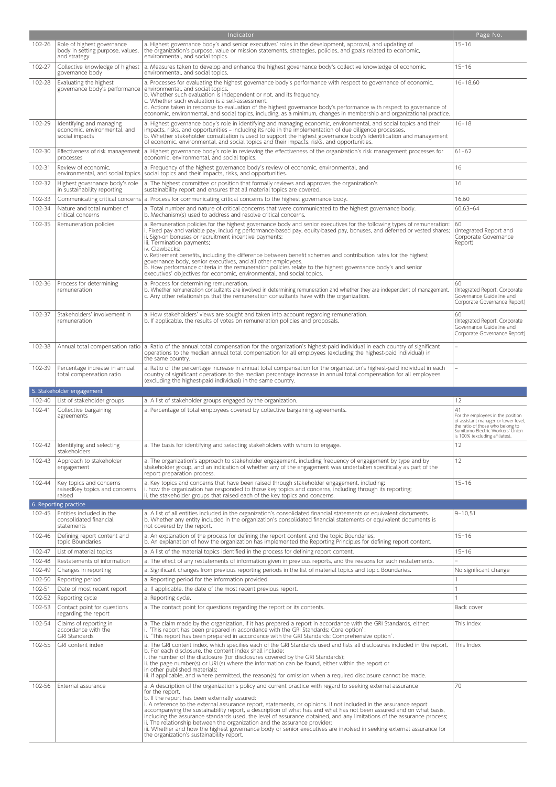|                  |                                                                                | Indicator                                                                                                                                                                                                                                                                                                                                                                                                                                                                                                                          | Page No.                                                                                                                                                                                         |
|------------------|--------------------------------------------------------------------------------|------------------------------------------------------------------------------------------------------------------------------------------------------------------------------------------------------------------------------------------------------------------------------------------------------------------------------------------------------------------------------------------------------------------------------------------------------------------------------------------------------------------------------------|--------------------------------------------------------------------------------------------------------------------------------------------------------------------------------------------------|
| 102-26           | Role of highest governance<br>body in setting purpose, values,<br>and strategy | a. Highest governance body's and senior executives' roles in the development, approval, and updating of<br>the organization's purpose, value or mission statements, strategies, policies, and goals related to economic,<br>environmental, and social topics.                                                                                                                                                                                                                                                                      | $15 - 16$                                                                                                                                                                                        |
| 102-27           | Collective knowledge of highest<br>governance body                             | a. Measures taken to develop and enhance the highest governance body's collective knowledge of economic,<br>environmental, and social topics.                                                                                                                                                                                                                                                                                                                                                                                      | $15 - 16$                                                                                                                                                                                        |
| 102-28           | Evaluating the highest<br>governance body's performance                        | a. Processes for evaluating the highest governance body's performance with respect to governance of economic,<br>environmental, and social topics.<br>b. Whether such evaluation is independent or not, and its frequency.<br>c. Whether such evaluation is a self-assessment.<br>d. Actions taken in response to evaluation of the highest governance body's performance with respect to governance of<br>economic, environmental, and social topics, including, as a minimum, changes in membership and organizational practice. | $16 - 18,60$                                                                                                                                                                                     |
| 102-29           | Identifying and managing<br>economic, environmental, and<br>social impacts     | a. Highest governance body's role in identifying and managing economic, environmental, and social topics and their<br>impacts, risks, and opportunities - including its role in the implementation of due diligence processes.<br>b. Whether stakeholder consultation is used to support the highest governance body's identification and management<br>of economic, environmental, and social topics and their impacts, risks, and opportunities.                                                                                 | $16 - 18$                                                                                                                                                                                        |
| 102-30           | Effectiveness of risk management<br>processes                                  | a. Highest governance body's role in reviewing the effectiveness of the organization's risk management processes for<br>economic, environmental, and social topics.                                                                                                                                                                                                                                                                                                                                                                | $61 - 62$                                                                                                                                                                                        |
| 102-31           | Review of economic,<br>environmental, and social topics                        | a. Frequency of the highest governance body's review of economic, environmental, and<br>social topics and their impacts, risks, and opportunities.                                                                                                                                                                                                                                                                                                                                                                                 | 16                                                                                                                                                                                               |
| 102-32           | Highest governance body's role<br>in sustainability reporting                  | a. The highest committee or position that formally reviews and approves the organization's<br>sustainability report and ensures that all material topics are covered.                                                                                                                                                                                                                                                                                                                                                              | 16                                                                                                                                                                                               |
| 102-33<br>102-34 | Nature and total number of                                                     | Communicating critical concerns   a. Process for communicating critical concerns to the highest governance body.<br>a. Total number and nature of critical concerns that were communicated to the highest governance body.                                                                                                                                                                                                                                                                                                         | 16,60<br>60,63-64                                                                                                                                                                                |
| 102-35           | critical concerns<br>Remuneration policies                                     | b. Mechanism(s) used to address and resolve critical concerns.<br>a. Remuneration policies for the highest governance body and senior executives for the following types of remuneration:<br>i. Fixed pay and variable pay, including performance-based pay, equity-based pay, bonuses, and deferred or vested shares;                                                                                                                                                                                                             | 60<br>(Integrated Report and                                                                                                                                                                     |
|                  |                                                                                | ii. Sign-on bonuses or recruitment incentive payments;<br>iii. Termination payments;<br>iv. Clawbacks;<br>v. Retirement benefits, including the difference between benefit schemes and contribution rates for the highest<br>governance body, senior executives, and all other employees.<br>b. How performance criteria in the remuneration policies relate to the highest governance body's and senior<br>executives' objectives for economic, environmental, and social topics.                                                 | Corporate Governance<br>Report)                                                                                                                                                                  |
| 102-36           | Process for determining<br>remuneration                                        | a. Process for determining remuneration.<br>b. Whether remuneration consultants are involved in determining remuneration and whether they are independent of management.<br>c. Any other relationships that the remuneration consultants have with the organization.                                                                                                                                                                                                                                                               | 60<br>(Integrated Report, Corporate<br>Governance Guideline and<br>Corporate Governance Report)                                                                                                  |
| 102-37           | Stakeholders' involvement in<br>remuneration                                   | a. How stakeholders' views are sought and taken into account regarding remuneration.<br>b. If applicable, the results of votes on remuneration policies and proposals.                                                                                                                                                                                                                                                                                                                                                             | 60<br>(Integrated Report, Corporate<br>Governance Guideline and<br>Corporate Governance Report)                                                                                                  |
| 102-38           |                                                                                | Annual total compensation ratio   a. Ratio of the annual total compensation for the organization's highest-paid individual in each country of significant<br>operations to the median annual total compensation for all employees (excluding the highest-paid individual) in<br>the same country.                                                                                                                                                                                                                                  |                                                                                                                                                                                                  |
| 102-39           | Percentage increase in annual<br>total compensation ratio                      | a. Ratio of the percentage increase in annual total compensation for the organization's highest-paid individual in each<br>country of significant operations to the median percentage increase in annual total compensation for all employees<br>(excluding the highest-paid individual) in the same country.                                                                                                                                                                                                                      |                                                                                                                                                                                                  |
|                  | 5. Stakeholder engagement                                                      |                                                                                                                                                                                                                                                                                                                                                                                                                                                                                                                                    |                                                                                                                                                                                                  |
| 102-40<br>102-41 | List of stakeholder groups<br>Collective bargaining<br>agreements              | a. A list of stakeholder groups engaged by the organization.<br>a. Percentage of total employees covered by collective bargaining agreements.                                                                                                                                                                                                                                                                                                                                                                                      | 12<br>41<br>For the employees in the position<br>of assistant manager or lower level,<br>the ratio of those who belong to<br>Sumitomo Electric Workers' Union<br>is 100% (excluding affiliates). |
| 102-42           | Identifying and selecting<br>stakeholders                                      | a. The basis for identifying and selecting stakeholders with whom to engage.                                                                                                                                                                                                                                                                                                                                                                                                                                                       | 12                                                                                                                                                                                               |
| 102-43           | Approach to stakeholder<br>engagement                                          | a. The organization's approach to stakeholder engagement, including frequency of engagement by type and by<br>stakeholder group, and an indication of whether any of the engagement was undertaken specifically as part of the<br>report preparation process.                                                                                                                                                                                                                                                                      | 12                                                                                                                                                                                               |
| 102-44           | Key topics and concerns<br>raisedKey topics and concerns<br>raised             | a. Key topics and concerns that have been raised through stakeholder engagement, including:<br>i. how the organization has responded to those key topics and concerns, including through its reporting;<br>ii. the stakeholder groups that raised each of the key topics and concerns.                                                                                                                                                                                                                                             | $15 - 16$                                                                                                                                                                                        |
|                  | 6. Reporting practice                                                          |                                                                                                                                                                                                                                                                                                                                                                                                                                                                                                                                    |                                                                                                                                                                                                  |
| 102-45           | Entities included in the<br>consolidated financial<br>statements               | a. A list of all entities included in the organization's consolidated financial statements or equivalent documents.<br>b. Whether any entity included in the organization's consolidated financial statements or equivalent documents is<br>not covered by the report.                                                                                                                                                                                                                                                             | $9 - 10,51$                                                                                                                                                                                      |
| 102-46           | Defining report content and<br>topic Boundaries                                | a. An explanation of the process for defining the report content and the topic Boundaries.<br>b. An explanation of how the organization has implemented the Reporting Principles for defining report content.                                                                                                                                                                                                                                                                                                                      | $15 - 16$                                                                                                                                                                                        |
| 102-47           | List of material topics                                                        | a. A list of the material topics identified in the process for defining report content.                                                                                                                                                                                                                                                                                                                                                                                                                                            | $15 - 16$                                                                                                                                                                                        |
| 102-48<br>102-49 | Restatements of information<br>Changes in reporting                            | a. The effect of any restatements of information given in previous reports, and the reasons for such restatements.<br>a. Significant changes from previous reporting periods in the list of material topics and topic Boundaries.                                                                                                                                                                                                                                                                                                  | No significant change                                                                                                                                                                            |
| 102-50           | Reporting period                                                               | a. Reporting period for the information provided.                                                                                                                                                                                                                                                                                                                                                                                                                                                                                  |                                                                                                                                                                                                  |
| 102-51           |                                                                                |                                                                                                                                                                                                                                                                                                                                                                                                                                                                                                                                    |                                                                                                                                                                                                  |
| 102-52           | Date of most recent report                                                     | a. If applicable, the date of the most recent previous report.                                                                                                                                                                                                                                                                                                                                                                                                                                                                     | $\mathbf{1}$                                                                                                                                                                                     |
| 102-53           | Reporting cycle                                                                | a. Reporting cycle.                                                                                                                                                                                                                                                                                                                                                                                                                                                                                                                | $\mathbf{1}$                                                                                                                                                                                     |
|                  | Contact point for questions<br>regarding the report                            | a. The contact point for questions regarding the report or its contents.                                                                                                                                                                                                                                                                                                                                                                                                                                                           | Back cover                                                                                                                                                                                       |
| 102-54           | Claims of reporting in<br>accordance with the<br><b>GRI Standards</b>          | a. The claim made by the organization, if it has prepared a report in accordance with the GRI Standards, either:<br>"This report has been prepared in accordance with the GRI Standards: Core option";<br>ii. 'This report has been prepared in accordance with the GRI Standards: Comprehensive option'.                                                                                                                                                                                                                          | This Index                                                                                                                                                                                       |
| 102-55           | GRI content index                                                              | a. The GRI content index, which specifies each of the GRI Standards used and lists all disclosures included in the report.<br>b. For each disclosure, the content index shall include:<br>i. the number of the disclosure (for disclosures covered by the GRI Standards);<br>ii. the page number(s) or URL(s) where the information can be found, either within the report or<br>in other published materials;<br>iii. if applicable, and where permitted, the reason(s) for omission when a required disclosure cannot be made.   | This Index                                                                                                                                                                                       |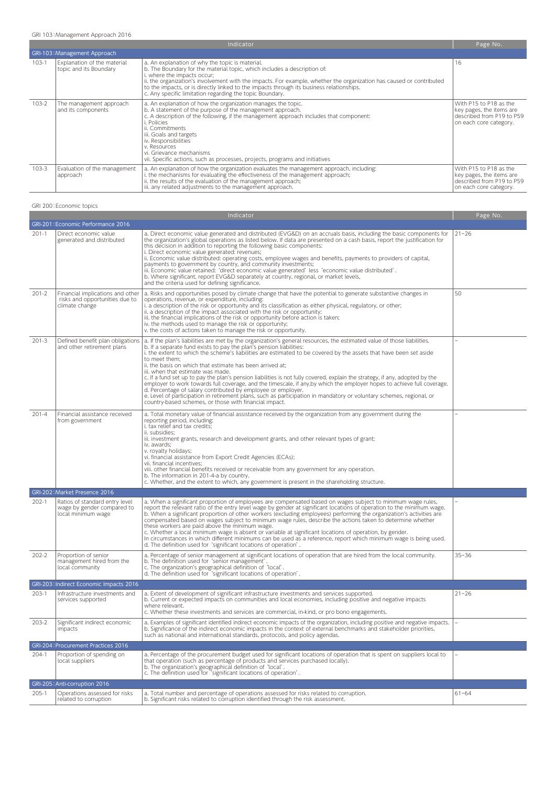GRI 103:Management Approach 2016

|           | Indicator                                             |                                                                                                                                                                                                                                                                                                                                                                                                                                            |                                                                                                           |  |  |
|-----------|-------------------------------------------------------|--------------------------------------------------------------------------------------------------------------------------------------------------------------------------------------------------------------------------------------------------------------------------------------------------------------------------------------------------------------------------------------------------------------------------------------------|-----------------------------------------------------------------------------------------------------------|--|--|
|           | GRI-103: Management Approach                          |                                                                                                                                                                                                                                                                                                                                                                                                                                            |                                                                                                           |  |  |
| $103-1$   | Explanation of the material<br>topic and its Boundary | a. An explanation of why the topic is material.<br>b. The Boundary for the material topic, which includes a description of:<br>i. where the impacts occur;<br>ii, the organization's involvement with the impacts. For example, whether the organization has caused or contributed<br>to the impacts, or is directly linked to the impacts through its business relationships.<br>c. Any specific limitation regarding the topic Boundary. | 16                                                                                                        |  |  |
| $103 - 2$ | The management approach<br>and its components         | a. An explanation of how the organization manages the topic.<br>b. A statement of the purpose of the management approach.<br>c. A description of the following, if the management approach includes that component:<br>i. Policies<br>ii. Commitments<br>iii. Goals and targets<br>iv. Responsibilities<br>v. Resources<br>l vi. Grievance mechanisms<br>vii. Specific actions, such as processes, projects, programs and initiatives      | With P15 to P18 as the<br>key pages, the items are<br>described from P19 to P59<br>on each core category. |  |  |
| $103 - 3$ | Evaluation of the management<br>approach              | a. An explanation of how the organization evaluates the management approach, including:<br>i. the mechanisms for evaluating the effectiveness of the management approach;<br>ii. the results of the evaluation of the management approach;<br>iii. any related adjustments to the management approach.                                                                                                                                     | With P15 to P18 as the<br>key pages, the items are<br>described from P19 to P59<br>on each core category. |  |  |

## GRI 200:Economic topics

|           |                                                                                      | Indicator                                                                                                                                                                                                                                                                                                                                                                                                                                                                                                                                                                                                                                                                                                                                                                                                                                                                                                                                            | Page No.                 |
|-----------|--------------------------------------------------------------------------------------|------------------------------------------------------------------------------------------------------------------------------------------------------------------------------------------------------------------------------------------------------------------------------------------------------------------------------------------------------------------------------------------------------------------------------------------------------------------------------------------------------------------------------------------------------------------------------------------------------------------------------------------------------------------------------------------------------------------------------------------------------------------------------------------------------------------------------------------------------------------------------------------------------------------------------------------------------|--------------------------|
|           | GRI-201: Economic Performance 2016                                                   |                                                                                                                                                                                                                                                                                                                                                                                                                                                                                                                                                                                                                                                                                                                                                                                                                                                                                                                                                      |                          |
| $201-1$   | Direct economic value<br>generated and distributed                                   | a. Direct economic value generated and distributed (EVG&D) on an accruals basis, including the basic components for<br>the organization's global operations as listed below. If data are presented on a cash basis, report the justification for<br>this decision in addition to reporting the following basic components:<br>i. Direct economic value generated: revenues;<br>ii. Economic value distributed: operating costs, employee wages and benefits, payments to providers of capital,<br>payments to government by country, and community investments;<br>iii. Economic value retained: 'direct economic value generated' less 'economic value distributed'.<br>b. Where significant, report EVG&D separately at country, regional, or market levels,<br>and the criteria used for defining significance.                                                                                                                                   | $21 - 26$                |
| $201 - 2$ | Financial implications and other<br>risks and opportunities due to<br>climate change | a. Risks and opportunities posed by climate change that have the potential to generate substantive changes in<br>operations, revenue, or expenditure, including:<br>i. a description of the risk or opportunity and its classification as either physical, regulatory, or other;<br>ii. a description of the impact associated with the risk or opportunity;<br>iii. the financial implications of the risk or opportunity before action is taken;<br>iv. the methods used to manage the risk or opportunity;<br>v. the costs of actions taken to manage the risk or opportunity.                                                                                                                                                                                                                                                                                                                                                                    | 50                       |
| $201-3$   | Defined benefit plan obligations<br>and other retirement plans                       | a. If the plan's liabilities are met by the organization's general resources, the estimated value of those liabilities.<br>b. If a separate fund exists to pay the plan's pension liabilities:<br>i. the extent to which the scheme's liabilities are estimated to be covered by the assets that have been set aside<br>to meet them:<br>ii. the basis on which that estimate has been arrived at;<br>iii. when that estimate was made.<br>c. If a fund set up to pay the plan's pension liabilities is not fully covered, explain the strategy, if any, adopted by the<br>employer to work towards full coverage, and the timescale, if any by which the employer hopes to achieve full coverage.<br>d. Percentage of salary contributed by employee or employer.<br>e. Level of participation in retirement plans, such as participation in mandatory or voluntary schemes, regional, or<br>country-based schemes, or those with financial impact. |                          |
| $201 - 4$ | Financial assistance received<br>from government                                     | a. Total monetary value of financial assistance received by the organization from any government during the<br>reporting period, including:<br>i. tax relief and tax credits;<br>ii. subsidies:<br>iii. investment grants, research and development grants, and other relevant types of grant;<br>iv. awards;<br>v. royalty holidays;<br>vi. financial assistance from Export Credit Agencies (ECAs);<br>vii. financial incentives;<br>viii. other financial benefits received or receivable from any government for any operation.<br>b. The information in 201-4-a by country.<br>c. Whether, and the extent to which, any government is present in the shareholding structure.                                                                                                                                                                                                                                                                    |                          |
|           | GRI-202: Market Presence 2016                                                        |                                                                                                                                                                                                                                                                                                                                                                                                                                                                                                                                                                                                                                                                                                                                                                                                                                                                                                                                                      |                          |
| $202-1$   | Ratios of standard entry level<br>wage by gender compared to<br>local minimum wage   | a. When a significant proportion of employees are compensated based on wages subject to minimum wage rules,<br>report the relevant ratio of the entry level wage by gender at significant locations of operation to the minimum wage.<br>b. When a significant proportion of other workers (excluding employees) performing the organization's activities are<br>compensated based on wages subject to minimum wage rules, describe the actions taken to determine whether<br>these workers are paid above the minimum wage.<br>c. Whether a local minimum wage is absent or variable at significant locations of operation, by gender.<br>In circumstances in which different minimums can be used as a reference, report which minimum wage is being used.<br>d. The definition used for 'significant locations of operation'.                                                                                                                     |                          |
| $202 - 2$ | Proportion of senior<br>management hired from the<br>local community                 | a. Percentage of senior management at significant locations of operation that are hired from the local community.<br>b. The definition used for 'senior management'.<br>c. The organization's geographical definition of 'local'.<br>d. The definition used for 'significant locations of operation'.                                                                                                                                                                                                                                                                                                                                                                                                                                                                                                                                                                                                                                                | $35 - 36$                |
|           | GRI-203: Indirect Economic Impacts 2016                                              |                                                                                                                                                                                                                                                                                                                                                                                                                                                                                                                                                                                                                                                                                                                                                                                                                                                                                                                                                      |                          |
| 203-1     | Infrastructure investments and<br>services supported                                 | a. Extent of development of significant infrastructure investments and services supported.<br>b. Current or expected impacts on communities and local economies, including positive and negative impacts<br>where relevant.<br>c. Whether these investments and services are commercial, in-kind, or pro bono engagements.                                                                                                                                                                                                                                                                                                                                                                                                                                                                                                                                                                                                                           | $21 - 26$                |
| 203-2     | Significant indirect economic<br>impacts                                             | a. Examples of significant identified indirect economic impacts of the organization, including positive and negative impacts.<br>b. Significance of the indirect economic impacts in the context of external benchmarks and stakeholder priorities,<br>such as national and international standards, protocols, and policy agendas.                                                                                                                                                                                                                                                                                                                                                                                                                                                                                                                                                                                                                  | $\overline{\phantom{a}}$ |
|           | GRI-204: Procurement Practices 2016                                                  |                                                                                                                                                                                                                                                                                                                                                                                                                                                                                                                                                                                                                                                                                                                                                                                                                                                                                                                                                      |                          |
| 204-1     | Proportion of spending on<br>local suppliers                                         | a. Percentage of the procurement budget used for significant locations of operation that is spent on suppliers local to<br>that operation (such as percentage of products and services purchased locally).<br>b. The organization's geographical definition of 'local'.<br>c. The definition used for "significant locations of operation'.                                                                                                                                                                                                                                                                                                                                                                                                                                                                                                                                                                                                          |                          |
|           | GRI-205: Anti-corruption 2016                                                        |                                                                                                                                                                                                                                                                                                                                                                                                                                                                                                                                                                                                                                                                                                                                                                                                                                                                                                                                                      |                          |
| $205-1$   | Operations assessed for risks<br>related to corruption                               | a. Total number and percentage of operations assessed for risks related to corruption.<br>b. Significant risks related to corruption identified through the risk assessment.                                                                                                                                                                                                                                                                                                                                                                                                                                                                                                                                                                                                                                                                                                                                                                         | $61 - 64$                |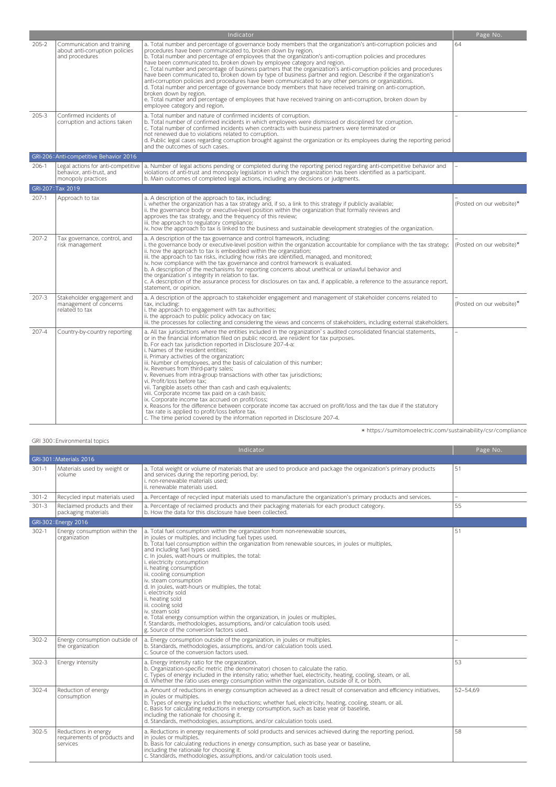|           | Indicator                                                                             |                                                                                                                                                                                                                                                                                                                                                                                                                                                                                                                                                                                                                                                                                                                                                                                                                                                                                                                                                                                                                               |                          |  |
|-----------|---------------------------------------------------------------------------------------|-------------------------------------------------------------------------------------------------------------------------------------------------------------------------------------------------------------------------------------------------------------------------------------------------------------------------------------------------------------------------------------------------------------------------------------------------------------------------------------------------------------------------------------------------------------------------------------------------------------------------------------------------------------------------------------------------------------------------------------------------------------------------------------------------------------------------------------------------------------------------------------------------------------------------------------------------------------------------------------------------------------------------------|--------------------------|--|
| $205 - 2$ | Communication and training<br>about anti-corruption policies<br>and procedures        | a. Total number and percentage of governance body members that the organization's anti-corruption policies and<br>procedures have been communicated to, broken down by region.<br>b. Total number and percentage of employees that the organization's anti-corruption policies and procedures<br>have been communicated to, broken down by employee category and region.<br>c. Total number and percentage of business partners that the organization's anti-corruption policies and procedures<br>have been communicated to, broken down by type of business partner and region. Describe if the organization's<br>anti-corruption policies and procedures have been communicated to any other persons or organizations.<br>d. Total number and percentage of governance body members that have received training on anti-corruption,<br>broken down by region.<br>e. Total number and percentage of employees that have received training on anti-corruption, broken down by<br>employee category and region.               | 64                       |  |
| $205 - 3$ | Confirmed incidents of<br>corruption and actions taken                                | a. Total number and nature of confirmed incidents of corruption.<br>b. Total number of confirmed incidents in which employees were dismissed or disciplined for corruption.<br>c. Total number of confirmed incidents when contracts with business partners were terminated or<br>not renewed due to violations related to corruption.<br>d. Public legal cases regarding corruption brought against the organization or its employees during the reporting period<br>and the outcomes of such cases.                                                                                                                                                                                                                                                                                                                                                                                                                                                                                                                         |                          |  |
|           | GRI-206: Anti-competitive Behavior 2016                                               |                                                                                                                                                                                                                                                                                                                                                                                                                                                                                                                                                                                                                                                                                                                                                                                                                                                                                                                                                                                                                               |                          |  |
| 206-1     | Legal actions for anti-competitive<br>behavior, anti-trust, and<br>monopoly practices | a. Number of legal actions pending or completed during the reporting period regarding anti-competitive behavior and<br>violations of anti-trust and monopoly legislation in which the organization has been identified as a participant.<br>b. Main outcomes of completed legal actions, including any decisions or judgments.                                                                                                                                                                                                                                                                                                                                                                                                                                                                                                                                                                                                                                                                                                |                          |  |
|           | GRI-207: Tax 2019                                                                     |                                                                                                                                                                                                                                                                                                                                                                                                                                                                                                                                                                                                                                                                                                                                                                                                                                                                                                                                                                                                                               |                          |  |
| $207-1$   | Approach to tax                                                                       | a. A description of the approach to tax, including:<br>i. whether the organization has a tax strategy and, if so, a link to this strategy if publicly available;<br>ii. the governance body or executive-level position within the organization that formally reviews and<br>approves the tax strategy, and the frequency of this review;<br>iii. the approach to regulatory compliance;<br>iv. how the approach to tax is linked to the business and sustainable development strategies of the organization.                                                                                                                                                                                                                                                                                                                                                                                                                                                                                                                 | (Posted on our website)* |  |
| $207-2$   | Tax governance, control, and<br>risk management                                       | a. A description of the tax governance and control framework, including:<br>i. the governance body or executive-level position within the organization accountable for compliance with the tax strategy;<br>ii. how the approach to tax is embedded within the organization;<br>iii. the approach to tax risks, including how risks are identified, managed, and monitored;<br>iv. how compliance with the tax governance and control framework is evaluated.<br>b. A description of the mechanisms for reporting concerns about unethical or unlawful behavior and<br>the organization's integrity in relation to tax.<br>c. A description of the assurance process for disclosures on tax and, if applicable, a reference to the assurance report,<br>statement, or opinion.                                                                                                                                                                                                                                                | (Posted on our website)* |  |
| 207-3     | Stakeholder engagement and<br>management of concerns<br>related to tax                | a. A description of the approach to stakeholder engagement and management of stakeholder concerns related to<br>tax, including:<br>i. the approach to engagement with tax authorities;<br>ii. the approach to public policy advocacy on tax;<br>iii. the processes for collecting and considering the views and concerns of stakeholders, including external stakeholders.                                                                                                                                                                                                                                                                                                                                                                                                                                                                                                                                                                                                                                                    | (Posted on our website)* |  |
| $207 - 4$ | Country-by-country reporting                                                          | a. All tax jurisdictions where the entities included in the organization's audited consolidated financial statements,<br>or in the financial information filed on public record, are resident for tax purposes.<br>b. For each tax jurisdiction reported in Disclosure 207-4-a:<br>i. Names of the resident entities;<br>ii. Primary activities of the organization;<br>iii. Number of employees, and the basis of calculation of this number;<br>iv. Revenues from third-party sales;<br>v. Revenues from intra-group transactions with other tax jurisdictions;<br>vi. Profit/loss before tax:<br>vii. Tangible assets other than cash and cash equivalents;<br>viii. Corporate income tax paid on a cash basis;<br>ix. Corporate income tax accrued on profit/loss;<br>x. Reasons for the difference between corporate income tax accrued on profit/loss and the tax due if the statutory<br>tax rate is applied to profit/loss before tax.<br>c. The time period covered by the information reported in Disclosure 207-4. |                          |  |

\* https://sumitomoelectric.com/sustainability/csr/compliance

|  | GRI 300: Environmental topics |  |
|--|-------------------------------|--|

|           |                                                                  | Indicator                                                                                                                                                                                                                                                                                                                                                                                                                                                                                                                                                                                                                                                                                                                                                                                         | Page No. |
|-----------|------------------------------------------------------------------|---------------------------------------------------------------------------------------------------------------------------------------------------------------------------------------------------------------------------------------------------------------------------------------------------------------------------------------------------------------------------------------------------------------------------------------------------------------------------------------------------------------------------------------------------------------------------------------------------------------------------------------------------------------------------------------------------------------------------------------------------------------------------------------------------|----------|
|           | GRI-301: Materials 2016                                          |                                                                                                                                                                                                                                                                                                                                                                                                                                                                                                                                                                                                                                                                                                                                                                                                   |          |
| $301 - 1$ | Materials used by weight or<br>volume                            | a. Total weight or volume of materials that are used to produce and package the organization's primary products<br>and services during the reporting period, by:<br>i. non-renewable materials used:<br>ii, renewable materials used.                                                                                                                                                                                                                                                                                                                                                                                                                                                                                                                                                             | 51       |
| $301 - 2$ | Recycled input materials used                                    | a. Percentage of recycled input materials used to manufacture the organization's primary products and services.                                                                                                                                                                                                                                                                                                                                                                                                                                                                                                                                                                                                                                                                                   | ÷.       |
| $301 - 3$ | Reclaimed products and their<br>packaging materials              | a. Percentage of reclaimed products and their packaging materials for each product category.<br>b. How the data for this disclosure have been collected.                                                                                                                                                                                                                                                                                                                                                                                                                                                                                                                                                                                                                                          | 55       |
|           | GRI-302: Energy 2016                                             |                                                                                                                                                                                                                                                                                                                                                                                                                                                                                                                                                                                                                                                                                                                                                                                                   |          |
| $302 - 1$ | Energy consumption within the<br>organization                    | a. Total fuel consumption within the organization from non-renewable sources,<br>in joules or multiples, and including fuel types used.<br>b. Total fuel consumption within the organization from renewable sources, in joules or multiples,<br>and including fuel types used.<br>c. In joules, watt-hours or multiples, the total:<br>i. electricity consumption<br>ii. heating consumption<br>iii. cooling consumption<br>iv. steam consumption<br>d. In joules, watt-hours or multiples, the total:<br>i. electricity sold<br>ii. heating sold<br>iii. cooling sold<br>iv. steam sold<br>e. Total energy consumption within the organization, in joules or multiples.<br>f. Standards, methodologies, assumptions, and/or calculation tools used.<br>g. Source of the conversion factors used. | 51       |
| $302 - 2$ | Energy consumption outside of<br>the organization                | a. Energy consumption outside of the organization, in joules or multiples.<br>b. Standards, methodologies, assumptions, and/or calculation tools used.<br>c. Source of the conversion factors used.                                                                                                                                                                                                                                                                                                                                                                                                                                                                                                                                                                                               |          |
| $302 - 3$ | Energy intensity                                                 | a. Energy intensity ratio for the organization.<br>b. Organization-specific metric (the denominator) chosen to calculate the ratio.<br>c. Types of energy included in the intensity ratio; whether fuel, electricity, heating, cooling, steam, or all.<br>d. Whether the ratio uses energy consumption within the organization, outside of it, or both.                                                                                                                                                                                                                                                                                                                                                                                                                                           | 53       |
| $302 - 4$ | Reduction of energy<br>consumption                               | a. Amount of reductions in energy consumption achieved as a direct result of conservation and efficiency initiatives,<br>in joules or multiples.<br>b. Types of energy included in the reductions; whether fuel, electricity, heating, cooling, steam, or all.<br>c. Basis for calculating reductions in energy consumption, such as base year or baseline,<br>including the rationale for choosing it.<br>d. Standards, methodologies, assumptions, and/or calculation tools used.                                                                                                                                                                                                                                                                                                               | 52-54.69 |
| $302 - 5$ | Reductions in energy<br>requirements of products and<br>services | a. Reductions in energy requirements of sold products and services achieved during the reporting period,<br>in joules or multiples.<br>b. Basis for calculating reductions in energy consumption, such as base year or baseline,<br>including the rationale for choosing it.<br>c. Standards, methodologies, assumptions, and/or calculation tools used.                                                                                                                                                                                                                                                                                                                                                                                                                                          | 58       |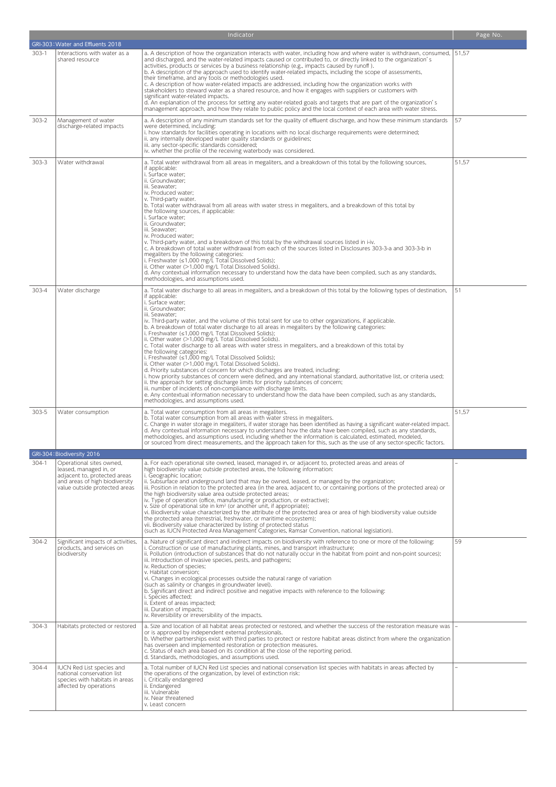|           |                                                                                                                                                       | Indicator                                                                                                                                                                                                                                                                                                                                                                                                                                                                                                                                                                                                                                                                                                                                                                                                                                                                                                                                                                                                                                                                                                                                                                                                                                                                                                                      | Page No. |
|-----------|-------------------------------------------------------------------------------------------------------------------------------------------------------|--------------------------------------------------------------------------------------------------------------------------------------------------------------------------------------------------------------------------------------------------------------------------------------------------------------------------------------------------------------------------------------------------------------------------------------------------------------------------------------------------------------------------------------------------------------------------------------------------------------------------------------------------------------------------------------------------------------------------------------------------------------------------------------------------------------------------------------------------------------------------------------------------------------------------------------------------------------------------------------------------------------------------------------------------------------------------------------------------------------------------------------------------------------------------------------------------------------------------------------------------------------------------------------------------------------------------------|----------|
|           | GRI-303: Water and Effluents 2018                                                                                                                     |                                                                                                                                                                                                                                                                                                                                                                                                                                                                                                                                                                                                                                                                                                                                                                                                                                                                                                                                                                                                                                                                                                                                                                                                                                                                                                                                |          |
| $303-1$   | Interactions with water as a<br>shared resource                                                                                                       | a. A description of how the organization interacts with water, including how and where water is withdrawn, consumed,   51,57<br>and discharged, and the water-related impacts caused or contributed to, or directly linked to the organization's<br>activities, products or services by a business relationship (e.g., impacts caused by runoff).<br>b. A description of the approach used to identify water-related impacts, including the scope of assessments,<br>their timeframe, and any tools or methodologies used.<br>c. A description of how water-related impacts are addressed, including how the organization works with<br>stakeholders to steward water as a shared resource, and how it engages with suppliers or customers with<br>significant water-related impacts.<br>d. An explanation of the process for setting any water-related goals and targets that are part of the organization's<br>management approach, and how they relate to public policy and the local context of each area with water stress.                                                                                                                                                                                                                                                                                               |          |
| $303 - 2$ | Management of water<br>discharge-related impacts                                                                                                      | a. A description of any minimum standards set for the quality of effluent discharge, and how these minimum standards<br>were determined, including:<br>i. how standards for facilities operating in locations with no local discharge requirements were determined;<br>ii. any internally developed water quality standards or guidelines;<br>iii. any sector-specific standards considered;<br>iv. whether the profile of the receiving waterbody was considered.                                                                                                                                                                                                                                                                                                                                                                                                                                                                                                                                                                                                                                                                                                                                                                                                                                                             | 57       |
| $303 - 3$ | Water withdrawal                                                                                                                                      | a. Total water withdrawal from all areas in megaliters, and a breakdown of this total by the following sources,<br>if applicable:<br>i. Surface water;<br>ii. Groundwater;<br>iii. Seawater;<br>iv. Produced water;<br>v. Third-party water.<br>b. Total water withdrawal from all areas with water stress in megaliters, and a breakdown of this total by<br>the following sources, if applicable:<br>i. Surface water;<br>ii. Groundwater;<br>iii. Seawater;<br>iv. Produced water;<br>v. Third-party water, and a breakdown of this total by the withdrawal sources listed in i-iv.<br>c. A breakdown of total water withdrawal from each of the sources listed in Disclosures 303-3-a and 303-3-b in<br>megaliters by the following categories:<br>i. Freshwater (≤1,000 mg/l Total Dissolved Solids);<br>ii. Other water (>1,000 mg/L Total Dissolved Solids).<br>d. Any contextual information necessary to understand how the data have been compiled, such as any standards,<br>methodologies, and assumptions used.                                                                                                                                                                                                                                                                                                   | 51,57    |
| 303-4     | Water discharge                                                                                                                                       | a. Total water discharge to all areas in megaliters, and a breakdown of this total by the following types of destination,<br>if applicable:<br>i. Surface water;<br>ii. Groundwater;<br>iii. Seawater;<br>iv. Third-party water, and the volume of this total sent for use to other organizations, if applicable.<br>b. A breakdown of total water discharge to all areas in megaliters by the following categories:<br>i. Freshwater (≤1,000 mg/L Total Dissolved Solids);<br>ii. Other water (>1,000 mg/L Total Dissolved Solids).<br>c. Total water discharge to all areas with water stress in megaliters, and a breakdown of this total by<br>the following categories:<br>i. Freshwater (≤1,000 mg/L Total Dissolved Solids);<br>ii. Other water (>1,000 mg/L Total Dissolved Solids).<br>d. Priority substances of concern for which discharges are treated, including:<br>i. how priority substances of concern were defined, and any international standard, authoritative list, or criteria used;<br>ii. the approach for setting discharge limits for priority substances of concern;<br>iii. number of incidents of non-compliance with discharge limits.<br>e. Any contextual information necessary to understand how the data have been compiled, such as any standards,<br>methodologies, and assumptions used. | 51       |
| 303-5     | Water consumption                                                                                                                                     | a. Total water consumption from all areas in megaliters.<br>b. Total water consumption from all areas with water stress in megaliters.<br>c. Change in water storage in megaliters, if water storage has been identified as having a significant water-related impact.<br>d. Any contextual information necessary to understand how the data have been compiled, such as any standards,<br>methodologies, and assumptions used, including whether the information is calculated, estimated, modeled,<br>or sourced from direct measurements, and the approach taken for this, such as the use of any sector-specific factors.                                                                                                                                                                                                                                                                                                                                                                                                                                                                                                                                                                                                                                                                                                  | 51.57    |
|           | GRI-304:Biodiversity 2016                                                                                                                             |                                                                                                                                                                                                                                                                                                                                                                                                                                                                                                                                                                                                                                                                                                                                                                                                                                                                                                                                                                                                                                                                                                                                                                                                                                                                                                                                |          |
| 304-1     | Operational sites owned,<br>leased, managed in, or<br>adjacent to, protected areas<br>and areas of high biodiversity<br>value outside protected areas | a. For each operational site owned, leased, managed in, or adjacent to, protected areas and areas of<br>high biodiversity value outside protected areas, the following information:<br>i. Geographic location;<br>ii. Subsurface and underground land that may be owned, leased, or managed by the organization;<br>iii. Position in relation to the protected area (in the area, adjacent to, or containing portions of the protected area) or<br>the high biodiversity value area outside protected areas;<br>iv. Type of operation (office, manufacturing or production, or extractive);<br>v. Size of operational site in km <sup>2</sup> (or another unit, if appropriate);<br>vi. Biodiversity value characterized by the attribute of the protected area or area of high biodiversity value outside<br>the protected area (terrestrial, freshwater, or maritime ecosystem);<br>vii. Biodiversity value characterized by listing of protected status<br>(such as IUCN Protected Area Management Categories, Ramsar Convention, national legislation).                                                                                                                                                                                                                                                                    |          |
| 304-2     | Significant impacts of activities,<br>products, and services on<br>biodiversity                                                                       | a. Nature of significant direct and indirect impacts on biodiversity with reference to one or more of the following:<br>i. Construction or use of manufacturing plants, mines, and transport infrastructure;<br>ii. Pollution (introduction of substances that do not naturally occur in the habitat from point and non-point sources);<br>iii. Introduction of invasive species, pests, and pathogens;<br>iv. Reduction of species;<br>v. Habitat conversion;<br>vi. Changes in ecological processes outside the natural range of variation<br>(such as salinity or changes in groundwater level).<br>b. Significant direct and indirect positive and negative impacts with reference to the following:<br>i. Species affected;<br>ii. Extent of areas impacted;<br>iii. Duration of impacts;<br>iv. Reversibility or irreversibility of the impacts.                                                                                                                                                                                                                                                                                                                                                                                                                                                                         | 59       |
| 304-3     | Habitats protected or restored                                                                                                                        | a. Size and location of all habitat areas protected or restored, and whether the success of the restoration measure was<br>or is approved by independent external professionals.<br>b. Whether partnerships exist with third parties to protect or restore habitat areas distinct from where the organization<br>has overseen and implemented restoration or protection measures.<br>c. Status of each area based on its condition at the close of the reporting period.<br>d. Standards, methodologies, and assumptions used.                                                                                                                                                                                                                                                                                                                                                                                                                                                                                                                                                                                                                                                                                                                                                                                                 |          |
| 304-4     | <b>IUCN Red List species and</b><br>national conservation list<br>species with habitats in areas<br>affected by operations                            | a. Total number of IUCN Red List species and national conservation list species with habitats in areas affected by<br>the operations of the organization, by level of extinction risk:<br>i. Critically endangered<br>ii. Endangered<br>iii. Vulnerable<br>iv. Near threatened<br>v. Least concern                                                                                                                                                                                                                                                                                                                                                                                                                                                                                                                                                                                                                                                                                                                                                                                                                                                                                                                                                                                                                             |          |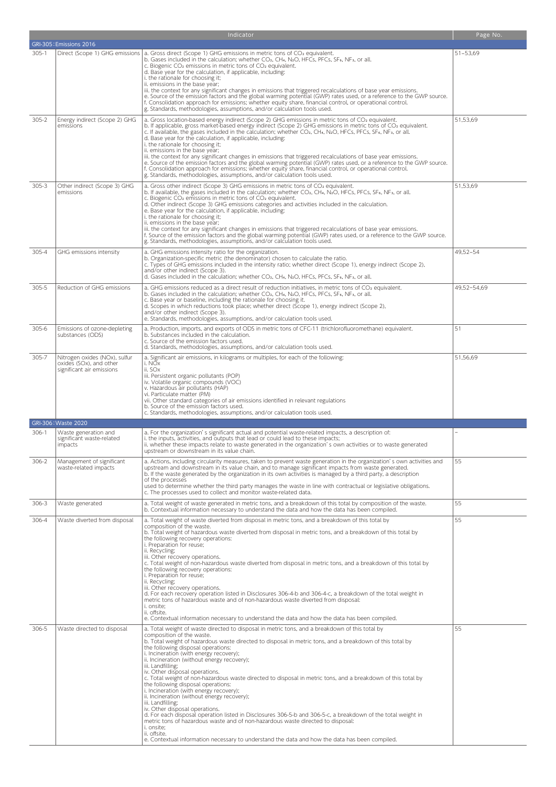|           |                                                                                       | Indicator                                                                                                                                                                                                                                                                                                                                                                                                                                                                                                                                                                                                                                                                                                                                                                                                                                                                                                                                                                                                                                                                | Page No.     |
|-----------|---------------------------------------------------------------------------------------|--------------------------------------------------------------------------------------------------------------------------------------------------------------------------------------------------------------------------------------------------------------------------------------------------------------------------------------------------------------------------------------------------------------------------------------------------------------------------------------------------------------------------------------------------------------------------------------------------------------------------------------------------------------------------------------------------------------------------------------------------------------------------------------------------------------------------------------------------------------------------------------------------------------------------------------------------------------------------------------------------------------------------------------------------------------------------|--------------|
|           | GRI-305: Emissions 2016                                                               |                                                                                                                                                                                                                                                                                                                                                                                                                                                                                                                                                                                                                                                                                                                                                                                                                                                                                                                                                                                                                                                                          |              |
| 305-1     |                                                                                       | Direct (Scope 1) GHG emissions   a. Gross direct (Scope 1) GHG emissions in metric tons of CO <sub>2</sub> equivalent.<br>b. Gases included in the calculation; whether CO <sub>2</sub> , CH <sub>4</sub> , N <sub>2</sub> O, HFCs, PFCs, SF <sub>6</sub> , NF <sub>3</sub> , or all.<br>c. Biogenic CO <sub>2</sub> emissions in metric tons of CO <sub>2</sub> equivalent.<br>d. Base year for the calculation, if applicable, including:<br>i. the rationale for choosing it;<br>ii. emissions in the base year;<br>iii. the context for any significant changes in emissions that triggered recalculations of base year emissions.<br>e. Source of the emission factors and the global warming potential (GWP) rates used, or a reference to the GWP source.<br>f. Consolidation approach for emissions; whether equity share, financial control, or operational control.<br>g. Standards, methodologies, assumptions, and/or calculation tools used.                                                                                                                | $51 - 53,69$ |
| $305 - 2$ | Energy indirect (Scope 2) GHG<br>emissions                                            | a. Gross location-based energy indirect (Scope 2) GHG emissions in metric tons of CO2 equivalent.<br>b. If applicable, gross market-based energy indirect (Scope 2) GHG emissions in metric tons of CO2 equivalent.<br>c. If available, the gases included in the calculation; whether CO <sub>2</sub> , CH <sub>4</sub> , N <sub>2</sub> O, HFCs, PFCs, SF <sub>6</sub> , NF <sub>3</sub> , or all.<br>d. Base year for the calculation, if applicable, including:<br>i. the rationale for choosing it;<br>ii. emissions in the base year;<br>iii. the context for any significant changes in emissions that triggered recalculations of base year emissions.<br>e. Source of the emission factors and the global warming potential (GWP) rates used, or a reference to the GWP source.<br>f. Consolidation approach for emissions; whether equity share, financial control, or operational control.<br>g. Standards, methodologies, assumptions, and/or calculation tools used.                                                                                        | 51,53,69     |
| $305 - 3$ | Other indirect (Scope 3) GHG<br>emissions                                             | a. Gross other indirect (Scope 3) GHG emissions in metric tons of CO <sub>2</sub> equivalent.<br>b. If available, the gases included in the calculation; whether CO2, CH4, N2O, HFCs, PFCs, SF6, NF3, or all.<br>c. Biogenic CO <sub>2</sub> emissions in metric tons of CO <sub>2</sub> equivalent.<br>d. Other indirect (Scope 3) GHG emissions categories and activities included in the calculation.<br>e. Base year for the calculation, if applicable, including:<br>i. the rationale for choosing it;<br>ii. emissions in the base year;<br>iii, the context for any significant changes in emissions that triggered recalculations of base year emissions.<br>f. Source of the emission factors and the global warming potential (GWP) rates used, or a reference to the GWP source.<br>g. Standards, methodologies, assumptions, and/or calculation tools used.                                                                                                                                                                                                 | 51,53,69     |
| 305-4     | GHG emissions intensity                                                               | a. GHG emissions intensity ratio for the organization.<br>b. Organization-specific metric (the denominator) chosen to calculate the ratio.<br>c. Types of GHG emissions included in the intensity ratio; whether direct (Scope 1), energy indirect (Scope 2),<br>and/or other indirect (Scope 3).<br>d. Gases included in the calculation; whether CO2, CH4, N2O, HFCs, PFCs, SF6, NF3, or all.                                                                                                                                                                                                                                                                                                                                                                                                                                                                                                                                                                                                                                                                          | 49,52-54     |
| 305-5     | Reduction of GHG emissions                                                            | a. GHG emissions reduced as a direct result of reduction initiatives, in metric tons of CO <sub>2</sub> equivalent.<br>b. Gases included in the calculation; whether CO2, CH4, N2O, HFCs, PFCs, SF6, NF3, or all.<br>c. Base year or baseline, including the rationale for choosing it.<br>d. Scopes in which reductions took place; whether direct (Scope 1), energy indirect (Scope 2),<br>and/or other indirect (Scope 3).<br>e. Standards, methodologies, assumptions, and/or calculation tools used.                                                                                                                                                                                                                                                                                                                                                                                                                                                                                                                                                                | 49,52-54,69  |
| 305-6     | Emissions of ozone-depleting<br>substances (ODS)                                      | a. Production, imports, and exports of ODS in metric tons of CFC-11 (trichlorofluoromethane) equivalent.<br>b. Substances included in the calculation.<br>c. Source of the emission factors used.<br>d. Standards, methodologies, assumptions, and/or calculation tools used.                                                                                                                                                                                                                                                                                                                                                                                                                                                                                                                                                                                                                                                                                                                                                                                            | 51           |
| 305-7     | Nitrogen oxides (NOx), sulfur<br>oxides (SOx), and other<br>significant air emissions | a. Significant air emissions, in kilograms or multiples, for each of the following:<br>i. NOx<br>ii. SOx<br>iii. Persistent organic pollutants (POP)<br>iv. Volatile organic compounds (VOC)<br>v. Hazardous air pollutants (HAP)<br>vi. Particulate matter (PM)<br>vii. Other standard categories of air emissions identified in relevant regulations<br>b. Source of the emission factors used.<br>c. Standards, methodologies, assumptions, and/or calculation tools used.                                                                                                                                                                                                                                                                                                                                                                                                                                                                                                                                                                                            | 51,56,69     |
|           | GRI-306: Waste 2020                                                                   |                                                                                                                                                                                                                                                                                                                                                                                                                                                                                                                                                                                                                                                                                                                                                                                                                                                                                                                                                                                                                                                                          |              |
| 306-1     | Waste generation and<br>significant waste-related<br>impacts                          | a. For the organization's significant actual and potential waste-related impacts, a description of:<br>i. the inputs, activities, and outputs that lead or could lead to these impacts;<br>ii. whether these impacts relate to waste generated in the organization's own activities or to waste generated<br>upstream or downstream in its value chain.                                                                                                                                                                                                                                                                                                                                                                                                                                                                                                                                                                                                                                                                                                                  |              |
| 306-2     | Management of significant<br>waste-related impacts                                    | a. Actions, including circularity measures, taken to prevent waste generation in the organization's own activities and<br>upstream and downstream in its value chain, and to manage significant impacts from waste generated.<br>b. If the waste generated by the organization in its own activities is managed by a third party, a description<br>of the processes<br>used to determine whether the third party manages the waste in line with contractual or legislative obligations.<br>c. The processes used to collect and monitor waste-related data.                                                                                                                                                                                                                                                                                                                                                                                                                                                                                                              | 55           |
| 306-3     | Waste generated                                                                       | a. Total weight of waste generated in metric tons, and a breakdown of this total by composition of the waste.<br>b. Contextual information necessary to understand the data and how the data has been compiled.                                                                                                                                                                                                                                                                                                                                                                                                                                                                                                                                                                                                                                                                                                                                                                                                                                                          | 55           |
| 306-4     | Waste diverted from disposal                                                          | a. Total weight of waste diverted from disposal in metric tons, and a breakdown of this total by<br>composition of the waste.<br>b. Total weight of hazardous waste diverted from disposal in metric tons, and a breakdown of this total by<br>the following recovery operations:<br>i. Preparation for reuse:<br>ii. Recycling;<br>iii. Other recovery operations.<br>c. Total weight of non-hazardous waste diverted from disposal in metric tons, and a breakdown of this total by<br>the following recovery operations:<br>i. Preparation for reuse;<br>ii. Recycling;<br>iii. Other recovery operations.<br>d. For each recovery operation listed in Disclosures 306-4-b and 306-4-c, a breakdown of the total weight in<br>metric tons of hazardous waste and of non-hazardous waste diverted from disposal:<br>i. onsite;<br>ii. offsite.<br>e. Contextual information necessary to understand the data and how the data has been compiled.                                                                                                                       | 55           |
| 306-5     | Waste directed to disposal                                                            | a. Total weight of waste directed to disposal in metric tons, and a breakdown of this total by<br>composition of the waste.<br>b. Total weight of hazardous waste directed to disposal in metric tons, and a breakdown of this total by<br>the following disposal operations:<br>i. Incineration (with energy recovery);<br>ii. Incineration (without energy recovery);<br>iii. Landfilling;<br>iv. Other disposal operations.<br>c. Total weight of non-hazardous waste directed to disposal in metric tons, and a breakdown of this total by<br>the following disposal operations:<br>i. Incineration (with energy recovery);<br>ii. Incineration (without energy recovery);<br>iii. Landfilling;<br>iv. Other disposal operations.<br>d. For each disposal operation listed in Disclosures 306-5-b and 306-5-c, a breakdown of the total weight in<br>metric tons of hazardous waste and of non-hazardous waste directed to disposal:<br>i. onsite;<br>ii. offsite.<br>e. Contextual information necessary to understand the data and how the data has been compiled. | 55           |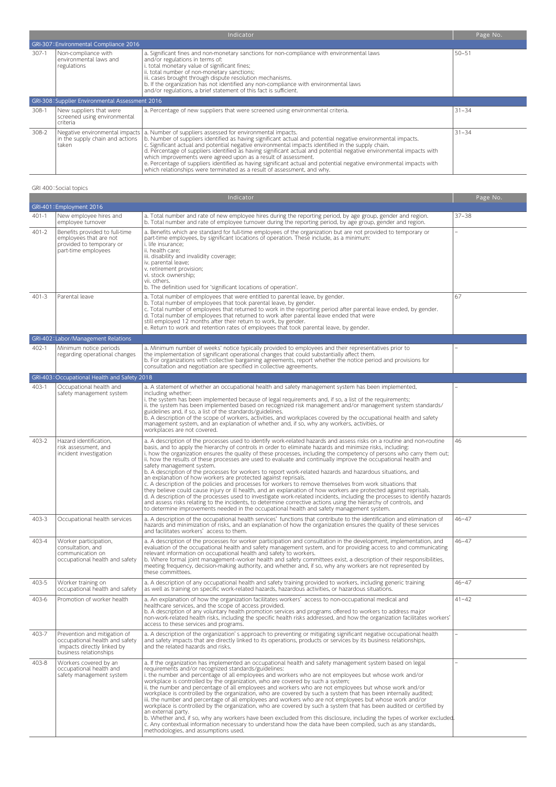|           | Indicator                                                           |                                                                                                                                                                                                                                                                                                                                                                                                                                                                                                                                                                                                                                                                                                                                                        |           |
|-----------|---------------------------------------------------------------------|--------------------------------------------------------------------------------------------------------------------------------------------------------------------------------------------------------------------------------------------------------------------------------------------------------------------------------------------------------------------------------------------------------------------------------------------------------------------------------------------------------------------------------------------------------------------------------------------------------------------------------------------------------------------------------------------------------------------------------------------------------|-----------|
|           | GRI-307: Environmental Compliance 2016                              |                                                                                                                                                                                                                                                                                                                                                                                                                                                                                                                                                                                                                                                                                                                                                        |           |
| $307-1$   | Non-compliance with<br>environmental laws and<br>regulations        | a. Significant fines and non-monetary sanctions for non-compliance with environmental laws<br>and/or regulations in terms of:<br>i. total monetary value of significant fines;<br>ii. total number of non-monetary sanctions;<br>iii. cases brought through dispute resolution mechanisms.<br>b. If the organization has not identified any non-compliance with environmental laws<br>and/or regulations, a brief statement of this fact is sufficient.                                                                                                                                                                                                                                                                                                | $50 - 51$ |
|           | GRI-308: Supplier Environmental Assessment 2016                     |                                                                                                                                                                                                                                                                                                                                                                                                                                                                                                                                                                                                                                                                                                                                                        |           |
| 308-1     | New suppliers that were<br>screened using environmental<br>criteria | a. Percentage of new suppliers that were screened using environmental criteria.                                                                                                                                                                                                                                                                                                                                                                                                                                                                                                                                                                                                                                                                        | $31 - 34$ |
| $308 - 2$ | taken                                                               | Negative environmental impacts   a. Number of suppliers assessed for environmental impacts.<br>in the supply chain and actions $\vert$ b. Number of suppliers identified as having significant actual and potential negative environmental impacts.<br>c. Significant actual and potential negative environmental impacts identified in the supply chain.<br>d. Percentage of suppliers identified as having significant actual and potential negative environmental impacts with<br>which improvements were agreed upon as a result of assessment.<br>e. Percentage of suppliers identified as having significant actual and potential negative environmental impacts with<br>which relationships were terminated as a result of assessment, and why. | $31 - 34$ |

## GRI 400:Social topics

|           |                                                                                                                        | Indicator                                                                                                                                                                                                                                                                                                                                                                                                                                                                                                                                                                                                                                                                                                                                                                                                                                                                                                                                                                                                                                                                                                                                                                                                                                                                      | Page No.  |
|-----------|------------------------------------------------------------------------------------------------------------------------|--------------------------------------------------------------------------------------------------------------------------------------------------------------------------------------------------------------------------------------------------------------------------------------------------------------------------------------------------------------------------------------------------------------------------------------------------------------------------------------------------------------------------------------------------------------------------------------------------------------------------------------------------------------------------------------------------------------------------------------------------------------------------------------------------------------------------------------------------------------------------------------------------------------------------------------------------------------------------------------------------------------------------------------------------------------------------------------------------------------------------------------------------------------------------------------------------------------------------------------------------------------------------------|-----------|
|           | GRI-401: Employment 2016                                                                                               |                                                                                                                                                                                                                                                                                                                                                                                                                                                                                                                                                                                                                                                                                                                                                                                                                                                                                                                                                                                                                                                                                                                                                                                                                                                                                |           |
| $401 - 1$ | New employee hires and<br>employee turnover                                                                            | a. Total number and rate of new employee hires during the reporting period, by age group, gender and region.<br>b. Total number and rate of employee turnover during the reporting period, by age group, gender and region.                                                                                                                                                                                                                                                                                                                                                                                                                                                                                                                                                                                                                                                                                                                                                                                                                                                                                                                                                                                                                                                    | $37 - 38$ |
| $401 - 2$ | Benefits provided to full-time<br>employees that are not<br>provided to temporary or<br>part-time employees            | a. Benefits which are standard for full-time employees of the organization but are not provided to temporary or<br>part-time employees, by significant locations of operation. These include, as a minimum:<br>i. life insurance;<br>ii. health care;<br>iii. disability and invalidity coverage;<br>iv. parental leave;<br>v. retirement provision;<br>vi. stock ownership;<br>vii. others.<br>b. The definition used for 'significant locations of operation'.                                                                                                                                                                                                                                                                                                                                                                                                                                                                                                                                                                                                                                                                                                                                                                                                               |           |
| $401 - 3$ | Parental leave                                                                                                         | a. Total number of employees that were entitled to parental leave, by gender.<br>b. Total number of employees that took parental leave, by gender.<br>c. Total number of employees that returned to work in the reporting period after parental leave ended, by gender.<br>d. Total number of employees that returned to work after parental leave ended that were<br>still employed 12 months after their return to work, by gender.<br>e. Return to work and retention rates of employees that took parental leave, by gender.                                                                                                                                                                                                                                                                                                                                                                                                                                                                                                                                                                                                                                                                                                                                               | 67        |
|           | GRI-402: Labor/Management Relations                                                                                    |                                                                                                                                                                                                                                                                                                                                                                                                                                                                                                                                                                                                                                                                                                                                                                                                                                                                                                                                                                                                                                                                                                                                                                                                                                                                                |           |
| 402-1     | Minimum notice periods<br>regarding operational changes                                                                | a. Minimum number of weeks' notice typically provided to employees and their representatives prior to<br>the implementation of significant operational changes that could substantially affect them.<br>b. For organizations with collective bargaining agreements, report whether the notice period and provisions for<br>consultation and negotiation are specified in collective agreements.                                                                                                                                                                                                                                                                                                                                                                                                                                                                                                                                                                                                                                                                                                                                                                                                                                                                                |           |
|           | GRI-403: Occupational Health and Safety 2018                                                                           |                                                                                                                                                                                                                                                                                                                                                                                                                                                                                                                                                                                                                                                                                                                                                                                                                                                                                                                                                                                                                                                                                                                                                                                                                                                                                |           |
| 403-1     | Occupational health and<br>safety management system                                                                    | a. A statement of whether an occupational health and safety management system has been implemented,<br>including whether:<br>i. the system has been implemented because of legal requirements and, if so, a list of the requirements;<br>ii. the system has been implemented based on recognized risk management and/or management system standards/<br>guidelines and, if so, a list of the standards/guidelines.<br>b. A description of the scope of workers, activities, and workplaces covered by the occupational health and safety<br>management system, and an explanation of whether and, if so, why any workers, activities, or<br>workplaces are not covered.                                                                                                                                                                                                                                                                                                                                                                                                                                                                                                                                                                                                        |           |
| $403 - 2$ | Hazard identification.<br>risk assessment, and<br>incident investigation                                               | a. A description of the processes used to identify work-related hazards and assess risks on a routine and non-routine<br>basis, and to apply the hierarchy of controls in order to eliminate hazards and minimize risks, including:<br>i. how the organization ensures the quality of these processes, including the competency of persons who carry them out;<br>ii. how the results of these processes are used to evaluate and continually improve the occupational health and<br>safety management system.<br>b. A description of the processes for workers to report work-related hazards and hazardous situations, and<br>an explanation of how workers are protected against reprisals.<br>c. A description of the policies and processes for workers to remove themselves from work situations that<br>they believe could cause injury or ill health, and an explanation of how workers are protected against reprisals.<br>d. A description of the processes used to investigate work-related incidents, including the processes to identify hazards<br>and assess risks relating to the incidents, to determine corrective actions using the hierarchy of controls, and<br>to determine improvements needed in the occupational health and safety management system. | 46        |
| 403-3     | Occupational health services                                                                                           | a. A description of the occupational health services' functions that contribute to the identification and elimination of<br>hazards and minimization of risks, and an explanation of how the organization ensures the quality of these services<br>and facilitates workers' access to them.                                                                                                                                                                                                                                                                                                                                                                                                                                                                                                                                                                                                                                                                                                                                                                                                                                                                                                                                                                                    | $46 - 47$ |
| 403-4     | Worker participation,<br>consultation, and<br>communication on<br>occupational health and safety                       | a. A description of the processes for worker participation and consultation in the development, implementation, and<br>evaluation of the occupational health and safety management system, and for providing access to and communicating<br>relevant information on occupational health and safety to workers.<br>b. Where formal joint management-worker health and safety committees exist, a description of their responsibilities,<br>meeting frequency, decision-making authority, and whether and, if so, why any workers are not represented by<br>these committees.                                                                                                                                                                                                                                                                                                                                                                                                                                                                                                                                                                                                                                                                                                    | $46 - 47$ |
| 403-5     | Worker training on<br>occupational health and safety                                                                   | a. A description of any occupational health and safety training provided to workers, including generic training<br>as well as training on specific work-related hazards, hazardous activities, or hazardous situations.                                                                                                                                                                                                                                                                                                                                                                                                                                                                                                                                                                                                                                                                                                                                                                                                                                                                                                                                                                                                                                                        | $46 - 47$ |
| 403-6     | Promotion of worker health                                                                                             | a. An explanation of how the organization facilitates workers' access to non-occupational medical and<br>healthcare services, and the scope of access provided.<br>b. A description of any voluntary health promotion services and programs offered to workers to address major<br>non-work-related health risks, including the specific health risks addressed, and how the organization facilitates workers'<br>access to these services and programs.                                                                                                                                                                                                                                                                                                                                                                                                                                                                                                                                                                                                                                                                                                                                                                                                                       | $41 - 42$ |
| 403-7     | Prevention and mitigation of<br>occupational health and safety<br>impacts directly linked by<br>business relationships | a. A description of the organization's approach to preventing or mitigating significant negative occupational health<br>and safety impacts that are directly linked to its operations, products or services by its business relationships,<br>and the related hazards and risks.                                                                                                                                                                                                                                                                                                                                                                                                                                                                                                                                                                                                                                                                                                                                                                                                                                                                                                                                                                                               | ÷,        |
| 403-8     | Workers covered by an<br>occupational health and<br>safety management system                                           | a. If the organization has implemented an occupational health and safety management system based on legal<br>requirements and/or recognized standards/guidelines:<br>i. the number and percentage of all employees and workers who are not employees but whose work and/or<br>workplace is controlled by the organization, who are covered by such a system;<br>ii, the number and percentage of all employees and workers who are not employees but whose work and/or<br>workplace is controlled by the organization, who are covered by such a system that has been internally audited;<br>iii. the number and percentage of all employees and workers who are not employees but whose work and/or<br>workplace is controlled by the organization, who are covered by such a system that has been audited or certified by<br>an external party.<br>b. Whether and, if so, why any workers have been excluded from this disclosure, including the types of worker excluded.<br>c. Any contextual information necessary to understand how the data have been compiled, such as any standards,<br>methodologies, and assumptions used.                                                                                                                                          | ÷,        |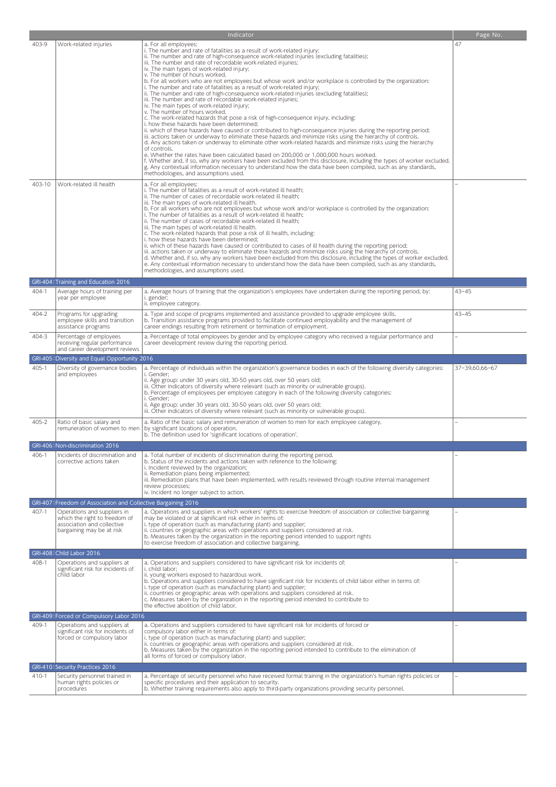|           |                                                                                                                         | Indicator                                                                                                                                                                                                                                                                                                                                                                                                                                                                                                                                                                                                                                                                                                                                                                                                                                                                                                                                                                                                                                                                                                                                                                                                                                                                                                                                                                                                                                                                                                                                                                                                                                                                         | Page No.                 |
|-----------|-------------------------------------------------------------------------------------------------------------------------|-----------------------------------------------------------------------------------------------------------------------------------------------------------------------------------------------------------------------------------------------------------------------------------------------------------------------------------------------------------------------------------------------------------------------------------------------------------------------------------------------------------------------------------------------------------------------------------------------------------------------------------------------------------------------------------------------------------------------------------------------------------------------------------------------------------------------------------------------------------------------------------------------------------------------------------------------------------------------------------------------------------------------------------------------------------------------------------------------------------------------------------------------------------------------------------------------------------------------------------------------------------------------------------------------------------------------------------------------------------------------------------------------------------------------------------------------------------------------------------------------------------------------------------------------------------------------------------------------------------------------------------------------------------------------------------|--------------------------|
| 403-9     | Work-related injuries                                                                                                   | a. For all employees:<br>i. The number and rate of fatalities as a result of work-related injury;<br>ii. The number and rate of high-consequence work-related injuries (excluding fatalities);<br>iii. The number and rate of recordable work-related injuries;<br>iv. The main types of work-related injury;<br>v. The number of hours worked.<br>b. For all workers who are not employees but whose work and/or workplace is controlled by the organization:<br>i. The number and rate of fatalities as a result of work-related injury;<br>ii. The number and rate of high-consequence work-related injuries (excluding fatalities);<br>iii. The number and rate of recordable work-related injuries;<br>iv. The main types of work-related injury;<br>v. The number of hours worked.<br>c. The work-related hazards that pose a risk of high-consequence injury, including:<br>i. how these hazards have been determined;<br>ii. which of these hazards have caused or contributed to high-consequence injuries during the reporting period;<br>iii. actions taken or underway to eliminate these hazards and minimize risks using the hierarchy of controls.<br>d. Any actions taken or underway to eliminate other work-related hazards and minimize risks using the hierarchy<br>of controls.<br>e. Whether the rates have been calculated based on 200,000 or 1,000,000 hours worked.<br>f. Whether and, if so, why any workers have been excluded from this disclosure, including the types of worker excluded.<br>g. Any contextual information necessary to understand how the data have been compiled, such as any standards,<br>methodologies, and assumptions used. | 47                       |
| 403-10    | Work-related ill health                                                                                                 | a. For all employees:<br>i. The number of fatalities as a result of work-related ill health;<br>ii. The number of cases of recordable work-related ill health;<br>iii. The main types of work-related ill health.<br>b. For all workers who are not employees but whose work and/or workplace is controlled by the organization:<br>i. The number of fatalities as a result of work-related ill health;<br>ii. The number of cases of recordable work-related ill health;<br>iii. The main types of work-related ill health.<br>c. The work-related hazards that pose a risk of ill health, including:<br>i. how these hazards have been determined;<br>ii. which of these hazards have caused or contributed to cases of ill health during the reporting period;<br>iii. actions taken or underway to eliminate these hazards and minimize risks using the hierarchy of controls.<br>d. Whether and, if so, why any workers have been excluded from this disclosure, including the types of worker excluded.<br>e. Any contextual information necessary to understand how the data have been compiled, such as any standards,<br>methodologies, and assumptions used.                                                                                                                                                                                                                                                                                                                                                                                                                                                                                                            |                          |
|           | GRI-404: Training and Education 2016                                                                                    |                                                                                                                                                                                                                                                                                                                                                                                                                                                                                                                                                                                                                                                                                                                                                                                                                                                                                                                                                                                                                                                                                                                                                                                                                                                                                                                                                                                                                                                                                                                                                                                                                                                                                   |                          |
| 404-1     | Average hours of training per<br>year per employee                                                                      | a. Average hours of training that the organization's employees have undertaken during the reporting period, by:<br>i. gender;<br>ii. employee category.                                                                                                                                                                                                                                                                                                                                                                                                                                                                                                                                                                                                                                                                                                                                                                                                                                                                                                                                                                                                                                                                                                                                                                                                                                                                                                                                                                                                                                                                                                                           | $43 - 45$                |
| 404-2     | Programs for upgrading<br>employee skills and transition<br>assistance programs                                         | a. Type and scope of programs implemented and assistance provided to upgrade employee skills.<br>b. Transition assistance programs provided to facilitate continued employability and the management of<br>career endings resulting from retirement or termination of employment.                                                                                                                                                                                                                                                                                                                                                                                                                                                                                                                                                                                                                                                                                                                                                                                                                                                                                                                                                                                                                                                                                                                                                                                                                                                                                                                                                                                                 | 43-45                    |
| 404-3     | Percentage of employees<br>receiving regular performance<br>and career development reviews                              | a. Percentage of total employees by gender and by employee category who received a regular performance and<br>career development review during the reporting period.                                                                                                                                                                                                                                                                                                                                                                                                                                                                                                                                                                                                                                                                                                                                                                                                                                                                                                                                                                                                                                                                                                                                                                                                                                                                                                                                                                                                                                                                                                              | $\overline{\phantom{0}}$ |
|           | GRI-405: Diversity and Equal Opportunity 2016                                                                           |                                                                                                                                                                                                                                                                                                                                                                                                                                                                                                                                                                                                                                                                                                                                                                                                                                                                                                                                                                                                                                                                                                                                                                                                                                                                                                                                                                                                                                                                                                                                                                                                                                                                                   |                          |
| 405-1     | Diversity of governance bodies<br>and employees                                                                         | a. Percentage of individuals within the organization's governance bodies in each of the following diversity categories:<br>i. Gender;<br>ii. Age group: under 30 years old, 30-50 years old, over 50 years old;<br>iii. Other indicators of diversity where relevant (such as minority or vulnerable groups).<br>b. Percentage of employees per employee category in each of the following diversity categories:<br>i. Gender;<br>ii. Age group: under 30 years old, 30-50 years old, over 50 years old;<br>iii. Other indicators of diversity where relevant (such as minority or vulnerable groups).                                                                                                                                                                                                                                                                                                                                                                                                                                                                                                                                                                                                                                                                                                                                                                                                                                                                                                                                                                                                                                                                            | 37-39,60,66-67           |
| 405-2     | Ratio of basic salary and<br>remuneration of women to men                                                               | a. Ratio of the basic salary and remuneration of women to men for each employee category,<br>by significant locations of operation.<br>b. The definition used for 'significant locations of operation'.                                                                                                                                                                                                                                                                                                                                                                                                                                                                                                                                                                                                                                                                                                                                                                                                                                                                                                                                                                                                                                                                                                                                                                                                                                                                                                                                                                                                                                                                           | ÷                        |
|           | GRI-406: Non-discrimination 2016                                                                                        |                                                                                                                                                                                                                                                                                                                                                                                                                                                                                                                                                                                                                                                                                                                                                                                                                                                                                                                                                                                                                                                                                                                                                                                                                                                                                                                                                                                                                                                                                                                                                                                                                                                                                   |                          |
| 406-1     | Incidents of discrimination and<br>corrective actions taken                                                             | a. Total number of incidents of discrimination during the reporting period.<br>b. Status of the incidents and actions taken with reference to the following:<br>i. Incident reviewed by the organization;<br>ii. Remediation plans being implemented;<br>iii. Remediation plans that have been implemented, with results reviewed through routine internal management<br>review processes;<br>iv. Incident no longer subject to action.                                                                                                                                                                                                                                                                                                                                                                                                                                                                                                                                                                                                                                                                                                                                                                                                                                                                                                                                                                                                                                                                                                                                                                                                                                           |                          |
|           | GRI-407: Freedom of Association and Collective Bargaining 2016                                                          |                                                                                                                                                                                                                                                                                                                                                                                                                                                                                                                                                                                                                                                                                                                                                                                                                                                                                                                                                                                                                                                                                                                                                                                                                                                                                                                                                                                                                                                                                                                                                                                                                                                                                   |                          |
| $407 - 1$ | Operations and suppliers in<br>which the right to freedom of<br>association and collective<br>bargaining may be at risk | a. Operations and suppliers in which workers' rights to exercise freedom of association or collective bargaining<br>may be violated or at significant risk either in terms of:<br>i. type of operation (such as manufacturing plant) and supplier;<br>ii. countries or geographic areas with operations and suppliers considered at risk.<br>b. Measures taken by the organization in the reporting period intended to support rights<br>to exercise freedom of association and collective bargaining.                                                                                                                                                                                                                                                                                                                                                                                                                                                                                                                                                                                                                                                                                                                                                                                                                                                                                                                                                                                                                                                                                                                                                                            |                          |
|           | GRI-408: Child Labor 2016                                                                                               |                                                                                                                                                                                                                                                                                                                                                                                                                                                                                                                                                                                                                                                                                                                                                                                                                                                                                                                                                                                                                                                                                                                                                                                                                                                                                                                                                                                                                                                                                                                                                                                                                                                                                   |                          |
| 408-1     | Operations and suppliers at<br>significant risk for incidents of<br>child labor                                         | a. Operations and suppliers considered to have significant risk for incidents of:<br>i. child labor;<br>ii. young workers exposed to hazardous work.<br>b. Operations and suppliers considered to have significant risk for incidents of child labor either in terms of:<br>i. type of operation (such as manufacturing plant) and supplier;<br>ii. countries or geographic areas with operations and suppliers considered at risk.<br>c. Measures taken by the organization in the reporting period intended to contribute to<br>the effective abolition of child labor.                                                                                                                                                                                                                                                                                                                                                                                                                                                                                                                                                                                                                                                                                                                                                                                                                                                                                                                                                                                                                                                                                                         |                          |
|           | GRI-409: Forced or Compulsory Labor 2016                                                                                |                                                                                                                                                                                                                                                                                                                                                                                                                                                                                                                                                                                                                                                                                                                                                                                                                                                                                                                                                                                                                                                                                                                                                                                                                                                                                                                                                                                                                                                                                                                                                                                                                                                                                   |                          |
| 409-1     | Operations and suppliers at<br>significant risk for incidents of<br>forced or compulsory labor                          | a. Operations and suppliers considered to have significant risk for incidents of forced or<br>compulsory labor either in terms of:<br>i. type of operation (such as manufacturing plant) and supplier;<br>ii. countries or geographic areas with operations and suppliers considered at risk.<br>b. Measures taken by the organization in the reporting period intended to contribute to the elimination of<br>all forms of forced or compulsory labor.                                                                                                                                                                                                                                                                                                                                                                                                                                                                                                                                                                                                                                                                                                                                                                                                                                                                                                                                                                                                                                                                                                                                                                                                                           |                          |
|           | GRI-410: Security Practices 2016                                                                                        |                                                                                                                                                                                                                                                                                                                                                                                                                                                                                                                                                                                                                                                                                                                                                                                                                                                                                                                                                                                                                                                                                                                                                                                                                                                                                                                                                                                                                                                                                                                                                                                                                                                                                   |                          |
| 410-1     | Security personnel trained in<br>human rights policies or<br>procedures                                                 | a. Percentage of security personnel who have received formal training in the organization's human rights policies or<br>specific procedures and their application to security.<br>b. Whether training requirements also apply to third-party organizations providing security personnel.                                                                                                                                                                                                                                                                                                                                                                                                                                                                                                                                                                                                                                                                                                                                                                                                                                                                                                                                                                                                                                                                                                                                                                                                                                                                                                                                                                                          |                          |
|           |                                                                                                                         |                                                                                                                                                                                                                                                                                                                                                                                                                                                                                                                                                                                                                                                                                                                                                                                                                                                                                                                                                                                                                                                                                                                                                                                                                                                                                                                                                                                                                                                                                                                                                                                                                                                                                   |                          |